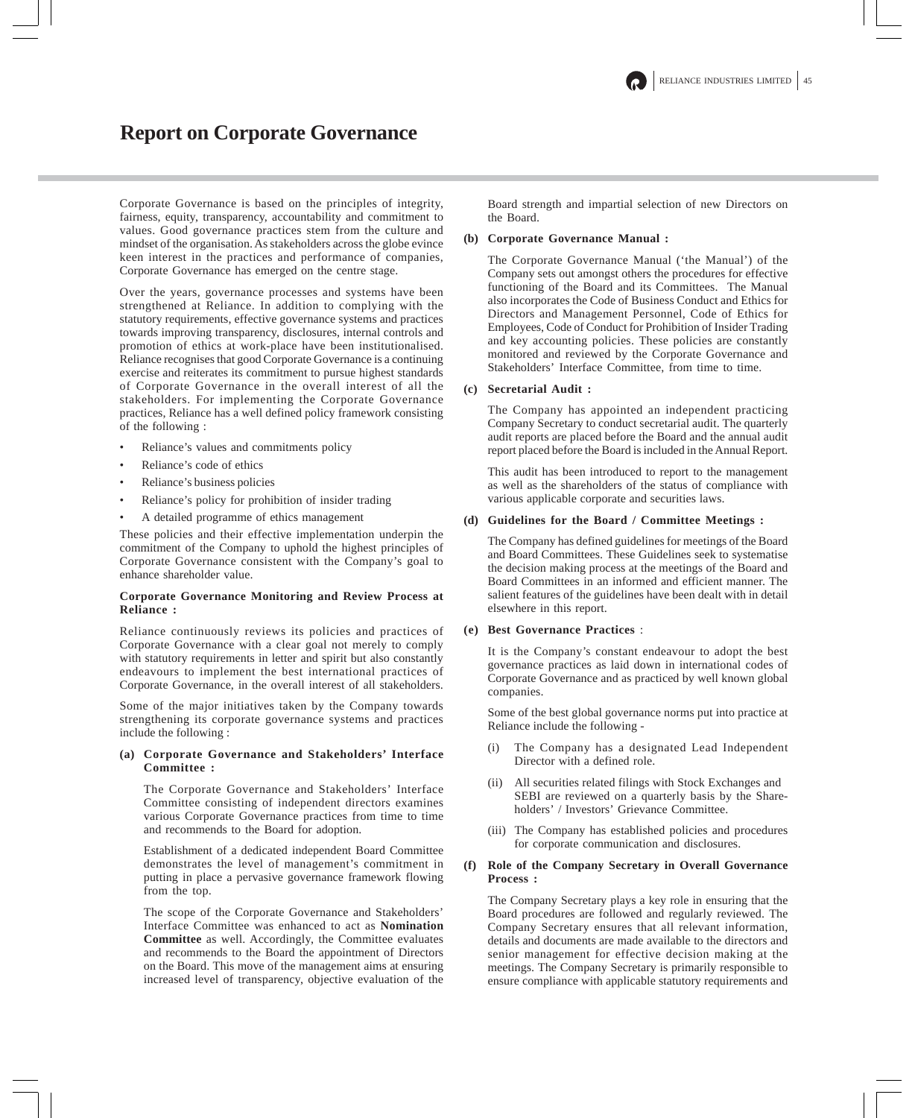# **Report on Corporate Governance**

Corporate Governance is based on the principles of integrity, fairness, equity, transparency, accountability and commitment to values. Good governance practices stem from the culture and mindset of the organisation. As stakeholders across the globe evince keen interest in the practices and performance of companies, Corporate Governance has emerged on the centre stage.

Over the years, governance processes and systems have been strengthened at Reliance. In addition to complying with the statutory requirements, effective governance systems and practices towards improving transparency, disclosures, internal controls and promotion of ethics at work-place have been institutionalised. Reliance recognises that good Corporate Governance is a continuing exercise and reiterates its commitment to pursue highest standards of Corporate Governance in the overall interest of all the stakeholders. For implementing the Corporate Governance practices, Reliance has a well defined policy framework consisting of the following :

- Reliance's values and commitments policy
- Reliance's code of ethics
- Reliance's business policies
- Reliance's policy for prohibition of insider trading
- A detailed programme of ethics management

These policies and their effective implementation underpin the commitment of the Company to uphold the highest principles of Corporate Governance consistent with the Company's goal to enhance shareholder value.

## **Corporate Governance Monitoring and Review Process at Reliance :**

Reliance continuously reviews its policies and practices of Corporate Governance with a clear goal not merely to comply with statutory requirements in letter and spirit but also constantly endeavours to implement the best international practices of Corporate Governance, in the overall interest of all stakeholders.

Some of the major initiatives taken by the Company towards strengthening its corporate governance systems and practices include the following :

### **(a) Corporate Governance and Stakeholders' Interface Committee :**

The Corporate Governance and Stakeholders' Interface Committee consisting of independent directors examines various Corporate Governance practices from time to time and recommends to the Board for adoption.

Establishment of a dedicated independent Board Committee demonstrates the level of management's commitment in putting in place a pervasive governance framework flowing from the top.

The scope of the Corporate Governance and Stakeholders' Interface Committee was enhanced to act as **Nomination Committee** as well. Accordingly, the Committee evaluates and recommends to the Board the appointment of Directors on the Board. This move of the management aims at ensuring increased level of transparency, objective evaluation of the Board strength and impartial selection of new Directors on the Board.

## **(b) Corporate Governance Manual :**

The Corporate Governance Manual ('the Manual') of the Company sets out amongst others the procedures for effective functioning of the Board and its Committees. The Manual also incorporates the Code of Business Conduct and Ethics for Directors and Management Personnel, Code of Ethics for Employees, Code of Conduct for Prohibition of Insider Trading and key accounting policies. These policies are constantly monitored and reviewed by the Corporate Governance and Stakeholders' Interface Committee, from time to time.

### **(c) Secretarial Audit :**

The Company has appointed an independent practicing Company Secretary to conduct secretarial audit. The quarterly audit reports are placed before the Board and the annual audit report placed before the Board is included in the Annual Report.

This audit has been introduced to report to the management as well as the shareholders of the status of compliance with various applicable corporate and securities laws.

### **(d) Guidelines for the Board / Committee Meetings :**

The Company has defined guidelines for meetings of the Board and Board Committees. These Guidelines seek to systematise the decision making process at the meetings of the Board and Board Committees in an informed and efficient manner. The salient features of the guidelines have been dealt with in detail elsewhere in this report.

## **(e) Best Governance Practices** :

It is the Company's constant endeavour to adopt the best governance practices as laid down in international codes of Corporate Governance and as practiced by well known global companies.

Some of the best global governance norms put into practice at Reliance include the following -

- (i) The Company has a designated Lead Independent Director with a defined role.
- (ii) All securities related filings with Stock Exchanges and SEBI are reviewed on a quarterly basis by the Shareholders' / Investors' Grievance Committee.
- (iii) The Company has established policies and procedures for corporate communication and disclosures.

### **(f) Role of the Company Secretary in Overall Governance Process :**

The Company Secretary plays a key role in ensuring that the Board procedures are followed and regularly reviewed. The Company Secretary ensures that all relevant information, details and documents are made available to the directors and senior management for effective decision making at the meetings. The Company Secretary is primarily responsible to ensure compliance with applicable statutory requirements and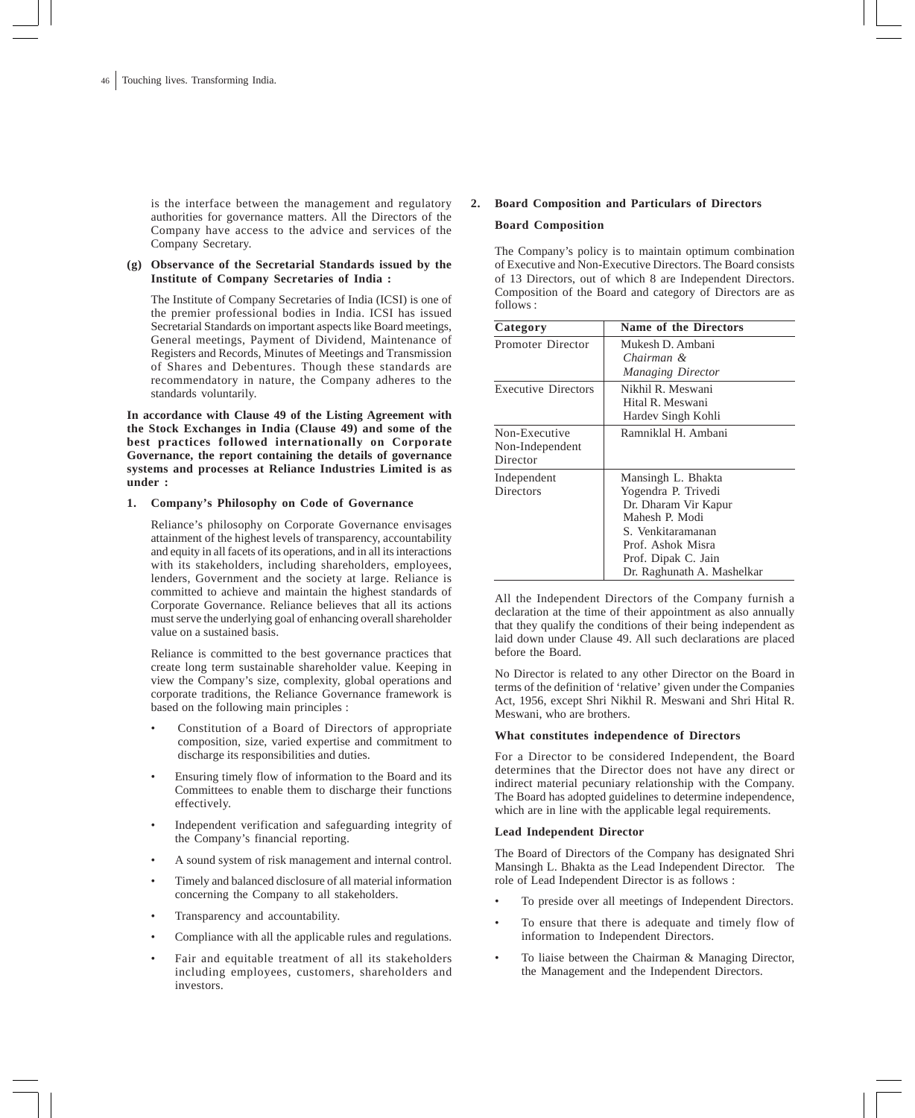is the interface between the management and regulatory authorities for governance matters. All the Directors of the Company have access to the advice and services of the Company Secretary.

## **(g) Observance of the Secretarial Standards issued by the Institute of Company Secretaries of India :**

The Institute of Company Secretaries of India (ICSI) is one of the premier professional bodies in India. ICSI has issued Secretarial Standards on important aspects like Board meetings, General meetings, Payment of Dividend, Maintenance of Registers and Records, Minutes of Meetings and Transmission of Shares and Debentures. Though these standards are recommendatory in nature, the Company adheres to the standards voluntarily.

**In accordance with Clause 49 of the Listing Agreement with the Stock Exchanges in India (Clause 49) and some of the best practices followed internationally on Corporate Governance, the report containing the details of governance systems and processes at Reliance Industries Limited is as under :**

## **1. Company's Philosophy on Code of Governance**

Reliance's philosophy on Corporate Governance envisages attainment of the highest levels of transparency, accountability and equity in all facets of its operations, and in all its interactions with its stakeholders, including shareholders, employees, lenders, Government and the society at large. Reliance is committed to achieve and maintain the highest standards of Corporate Governance. Reliance believes that all its actions must serve the underlying goal of enhancing overall shareholder value on a sustained basis.

Reliance is committed to the best governance practices that create long term sustainable shareholder value. Keeping in view the Company's size, complexity, global operations and corporate traditions, the Reliance Governance framework is based on the following main principles :

- Constitution of a Board of Directors of appropriate composition, size, varied expertise and commitment to discharge its responsibilities and duties.
- Ensuring timely flow of information to the Board and its Committees to enable them to discharge their functions effectively.
- Independent verification and safeguarding integrity of the Company's financial reporting.
- A sound system of risk management and internal control.
- Timely and balanced disclosure of all material information concerning the Company to all stakeholders.
- Transparency and accountability.
- Compliance with all the applicable rules and regulations.
- Fair and equitable treatment of all its stakeholders including employees, customers, shareholders and investors.

## **2. Board Composition and Particulars of Directors Board Composition**

The Company's policy is to maintain optimum combination of Executive and Non-Executive Directors. The Board consists of 13 Directors, out of which 8 are Independent Directors. Composition of the Board and category of Directors are as follows :

| Category                   | <b>Name of the Directors</b> |
|----------------------------|------------------------------|
| Promoter Director          | Mukesh D. Ambani             |
|                            | Chairman &                   |
|                            | <b>Managing Director</b>     |
| <b>Executive Directors</b> | Nikhil R. Meswani            |
|                            | Hital R. Meswani             |
|                            | Hardev Singh Kohli           |
| Non-Executive              | Ramniklal H. Ambani          |
| Non-Independent            |                              |
| Director                   |                              |
| Independent                | Mansingh L. Bhakta           |
| <b>Directors</b>           | Yogendra P. Trivedi          |
|                            | Dr. Dharam Vir Kapur         |
|                            | Mahesh P. Modi               |
|                            | S. Venkitaramanan            |
|                            | Prof. Ashok Misra            |
|                            | Prof. Dipak C. Jain          |
|                            | Dr. Raghunath A. Mashelkar   |

All the Independent Directors of the Company furnish a declaration at the time of their appointment as also annually that they qualify the conditions of their being independent as laid down under Clause 49. All such declarations are placed before the Board.

No Director is related to any other Director on the Board in terms of the definition of 'relative' given under the Companies Act, 1956, except Shri Nikhil R. Meswani and Shri Hital R. Meswani, who are brothers.

### **What constitutes independence of Directors**

For a Director to be considered Independent, the Board determines that the Director does not have any direct or indirect material pecuniary relationship with the Company. The Board has adopted guidelines to determine independence, which are in line with the applicable legal requirements.

### **Lead Independent Director**

The Board of Directors of the Company has designated Shri Mansingh L. Bhakta as the Lead Independent Director. The role of Lead Independent Director is as follows :

- To preside over all meetings of Independent Directors.
- To ensure that there is adequate and timely flow of information to Independent Directors.
- To liaise between the Chairman & Managing Director, the Management and the Independent Directors.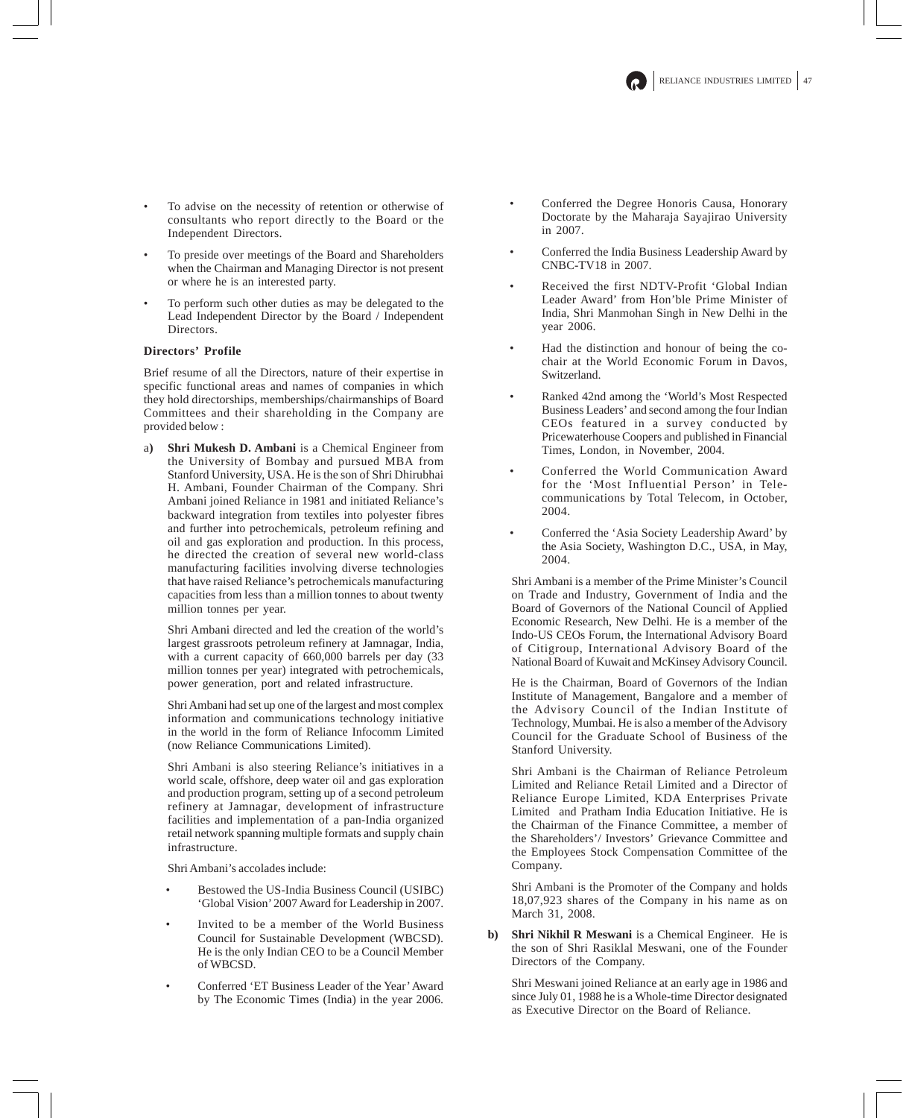- To advise on the necessity of retention or otherwise of consultants who report directly to the Board or the Independent Directors.
- To preside over meetings of the Board and Shareholders when the Chairman and Managing Director is not present or where he is an interested party.
- To perform such other duties as may be delegated to the Lead Independent Director by the Board / Independent Directors.

## **Directors' Profile**

Brief resume of all the Directors, nature of their expertise in specific functional areas and names of companies in which they hold directorships, memberships/chairmanships of Board Committees and their shareholding in the Company are provided below :

a**) Shri Mukesh D. Ambani** is a Chemical Engineer from the University of Bombay and pursued MBA from Stanford University, USA. He is the son of Shri Dhirubhai H. Ambani, Founder Chairman of the Company. Shri Ambani joined Reliance in 1981 and initiated Reliance's backward integration from textiles into polyester fibres and further into petrochemicals, petroleum refining and oil and gas exploration and production. In this process, he directed the creation of several new world-class manufacturing facilities involving diverse technologies that have raised Reliance's petrochemicals manufacturing capacities from less than a million tonnes to about twenty million tonnes per year.

Shri Ambani directed and led the creation of the world's largest grassroots petroleum refinery at Jamnagar, India, with a current capacity of 660,000 barrels per day (33 million tonnes per year) integrated with petrochemicals, power generation, port and related infrastructure.

Shri Ambani had set up one of the largest and most complex information and communications technology initiative in the world in the form of Reliance Infocomm Limited (now Reliance Communications Limited).

Shri Ambani is also steering Reliance's initiatives in a world scale, offshore, deep water oil and gas exploration and production program, setting up of a second petroleum refinery at Jamnagar, development of infrastructure facilities and implementation of a pan-India organized retail network spanning multiple formats and supply chain infrastructure.

Shri Ambani's accolades include:

- Bestowed the US-India Business Council (USIBC) 'Global Vision' 2007 Award for Leadership in 2007.
- Invited to be a member of the World Business Council for Sustainable Development (WBCSD). He is the only Indian CEO to be a Council Member of WBCSD.
- Conferred 'ET Business Leader of the Year' Award by The Economic Times (India) in the year 2006.
- Conferred the Degree Honoris Causa, Honorary Doctorate by the Maharaja Sayajirao University in 2007.
- Conferred the India Business Leadership Award by CNBC-TV18 in 2007.
- Received the first NDTV-Profit 'Global Indian Leader Award' from Hon'ble Prime Minister of India, Shri Manmohan Singh in New Delhi in the year 2006.
- Had the distinction and honour of being the cochair at the World Economic Forum in Davos, Switzerland.
- Ranked 42nd among the 'World's Most Respected Business Leaders' and second among the four Indian CEOs featured in a survey conducted by Pricewaterhouse Coopers and published in Financial Times, London, in November, 2004.
- Conferred the World Communication Award for the 'Most Influential Person' in Telecommunications by Total Telecom, in October, 2004.
- Conferred the 'Asia Society Leadership Award' by the Asia Society, Washington D.C., USA, in May, 2004.

Shri Ambani is a member of the Prime Minister's Council on Trade and Industry, Government of India and the Board of Governors of the National Council of Applied Economic Research, New Delhi. He is a member of the Indo-US CEOs Forum, the International Advisory Board of Citigroup, International Advisory Board of the National Board of Kuwait and McKinsey Advisory Council.

He is the Chairman, Board of Governors of the Indian Institute of Management, Bangalore and a member of the Advisory Council of the Indian Institute of Technology, Mumbai. He is also a member of the Advisory Council for the Graduate School of Business of the Stanford University.

Shri Ambani is the Chairman of Reliance Petroleum Limited and Reliance Retail Limited and a Director of Reliance Europe Limited, KDA Enterprises Private Limited and Pratham India Education Initiative. He is the Chairman of the Finance Committee, a member of the Shareholders'/ Investors' Grievance Committee and the Employees Stock Compensation Committee of the Company.

Shri Ambani is the Promoter of the Company and holds 18,07,923 shares of the Company in his name as on March 31, 2008.

**Shri Nikhil R Meswani** is a Chemical Engineer. He is the son of Shri Rasiklal Meswani, one of the Founder Directors of the Company.

Shri Meswani joined Reliance at an early age in 1986 and since July 01, 1988 he is a Whole-time Director designated as Executive Director on the Board of Reliance.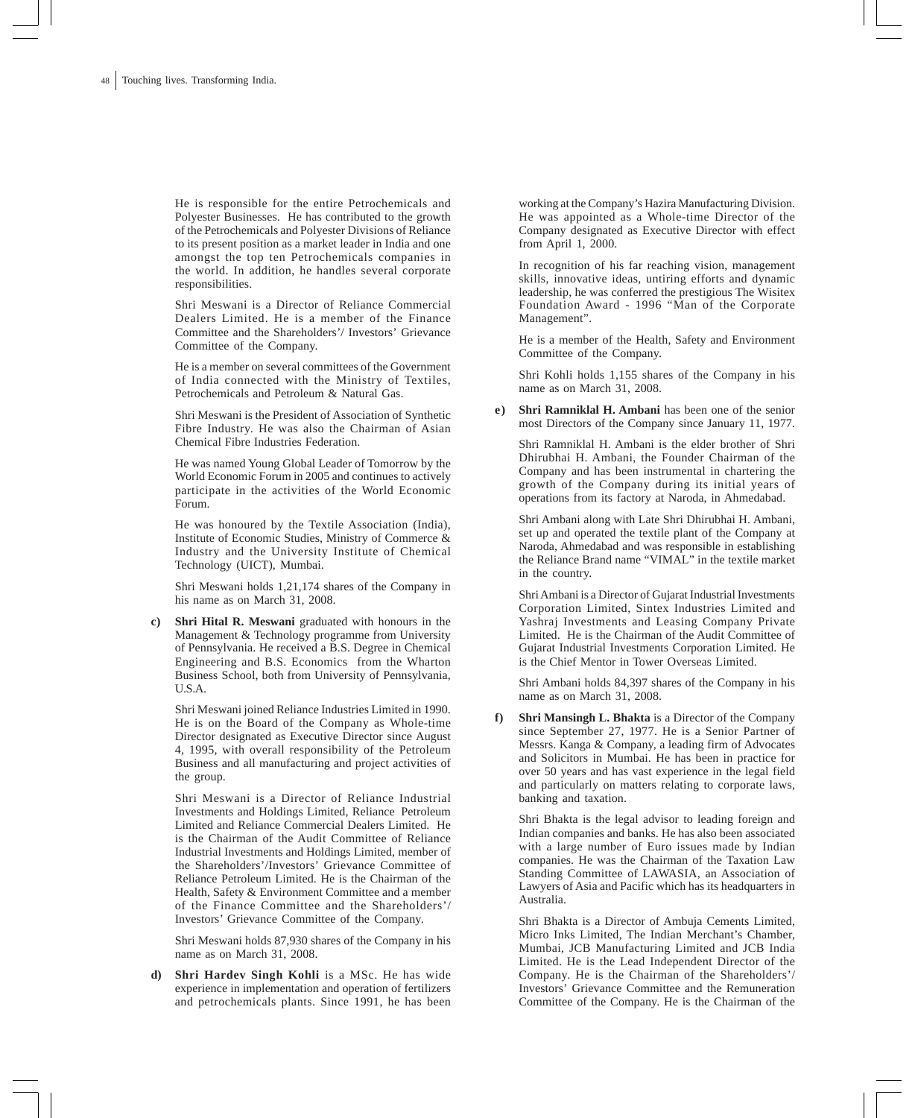He is responsible for the entire Petrochemicals and Polyester Businesses. He has contributed to the growth of the Petrochemicals and Polyester Divisions of Reliance to its present position as a market leader in India and one amongst the top ten Petrochemicals companies in the world. In addition, he handles several corporate responsibilities.

Shri Meswani is a Director of Reliance Commercial Dealers Limited. He is a member of the Finance Committee and the Shareholders'/ Investors' Grievance Committee of the Company.

He is a member on several committees of the Government of India connected with the Ministry of Textiles, Petrochemicals and Petroleum & Natural Gas.

Shri Meswani is the President of Association of Synthetic Fibre Industry. He was also the Chairman of Asian Chemical Fibre Industries Federation.

He was named Young Global Leader of Tomorrow by the World Economic Forum in 2005 and continues to actively participate in the activities of the World Economic Forum.

He was honoured by the Textile Association (India), Institute of Economic Studies, Ministry of Commerce & Industry and the University Institute of Chemical Technology (UICT), Mumbai.

Shri Meswani holds 1,21,174 shares of the Company in his name as on March 31, 2008.

**c) Shri Hital R. Meswani** graduated with honours in the Management & Technology programme from University of Pennsylvania. He received a B.S. Degree in Chemical Engineering and B.S. Economics from the Wharton Business School, both from University of Pennsylvania, U.S.A.

Shri Meswani joined Reliance Industries Limited in 1990. He is on the Board of the Company as Whole-time Director designated as Executive Director since August 4, 1995, with overall responsibility of the Petroleum Business and all manufacturing and project activities of the group.

Shri Meswani is a Director of Reliance Industrial Investments and Holdings Limited, Reliance Petroleum Limited and Reliance Commercial Dealers Limited. He is the Chairman of the Audit. Committee of Reliance Industrial Investments and Holdings Limited, member of the Shareholders'/Investors' Grievance Committee of Reliance Petroleum Limited. He is the Chairman of the Health, Safety & Environment Committee and a member of the Finance Committee and the Shareholders'/ Investors' Grievance Committee of the Company.

Shri Meswani holds 87,930 shares of the Company in his name as on March 31, 2008.

**d) Shri Hardev Singh Kohli** is a MSc. He has wide experience in implementation and operation of fertilizers and petrochemicals plants. Since 1991, he has been working at the Company's Hazira Manufacturing Division. He was appointed as a Whole-time Director of the Company designated as Executive Director with effect from April 1, 2000.

In recognition of his far reaching vision, management skills, innovative ideas, untiring efforts and dynamic leadership, he was conferred the prestigious The Wisitex Foundation Award - 1996 "Man of the Corporate Management".

He is a member of the Health, Safety and Environment Committee of the Company.

Shri Kohli holds 1,155 shares of the Company in his name as on March 31, 2008.

**e) Shri Ramniklal H. Ambani** has been one of the senior most Directors of the Company since January 11, 1977.

Shri Ramniklal H. Ambani is the elder brother of Shri Dhirubhai H. Ambani, the Founder Chairman of the Company and has been instrumental in chartering the growth of the Company during its initial years of operations from its factory at Naroda, in Ahmedabad.

Shri Ambani along with Late Shri Dhirubhai H. Ambani, set up and operated the textile plant of the Company at Naroda, Ahmedabad and was responsible in establishing the Reliance Brand name "VIMAL" in the textile market in the country.

Shri Ambani is a Director of Gujarat Industrial Investments Corporation Limited, Sintex Industries Limited and Yashraj Investments and Leasing Company Private Limited. He is the Chairman of the Audit Committee of Gujarat Industrial Investments Corporation Limited. He is the Chief Mentor in Tower Overseas Limited.

Shri Ambani holds 84,397 shares of the Company in his name as on March 31, 2008.

**f) Shri Mansingh L. Bhakta** is a Director of the Company since September 27, 1977. He is a Senior Partner of Messrs. Kanga & Company, a leading firm of Advocates and Solicitors in Mumbai. He has been in practice for over 50 years and has vast experience in the legal field and particularly on matters relating to corporate laws, banking and taxation.

Shri Bhakta is the legal advisor to leading foreign and Indian companies and banks. He has also been associated with a large number of Euro issues made by Indian companies. He was the Chairman of the Taxation Law Standing Committee of LAWASIA, an Association of Lawyers of Asia and Pacific which has its headquarters in Australia.

Shri Bhakta is a Director of Ambuja Cements Limited, Micro Inks Limited, The Indian Merchant's Chamber, Mumbai, JCB Manufacturing Limited and JCB India Limited. He is the Lead Independent Director of the Company. He is the Chairman of the Shareholders'/ Investors' Grievance Committee and the Remuneration Committee of the Company. He is the Chairman of the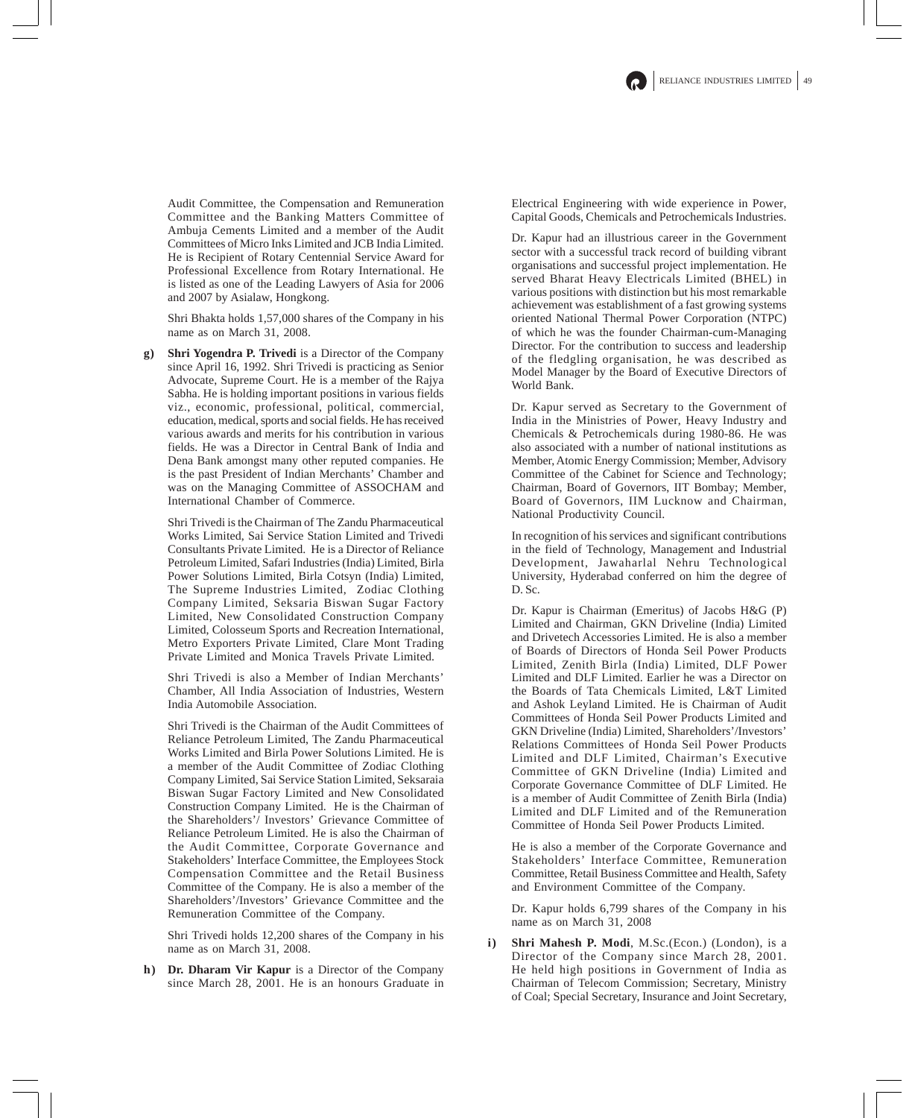Audit Committee, the Compensation and Remuneration Committee and the Banking Matters Committee of Ambuja Cements Limited and a member of the Audit Committees of Micro Inks Limited and JCB India Limited. He is Recipient of Rotary Centennial Service Award for Professional Excellence from Rotary International. He is listed as one of the Leading Lawyers of Asia for 2006 and 2007 by Asialaw, Hongkong.

Shri Bhakta holds 1,57,000 shares of the Company in his name as on March 31, 2008.

**g) Shri Yogendra P. Trivedi** is a Director of the Company since April 16, 1992. Shri Trivedi is practicing as Senior Advocate, Supreme Court. He is a member of the Rajya Sabha. He is holding important positions in various fields viz., economic, professional, political, commercial, education, medical, sports and social fields. He has received various awards and merits for his contribution in various fields. He was a Director in Central Bank of India and Dena Bank amongst many other reputed companies. He is the past President of Indian Merchants' Chamber and was on the Managing Committee of ASSOCHAM and International Chamber of Commerce.

Shri Trivedi is the Chairman of The Zandu Pharmaceutical Works Limited, Sai Service Station Limited and Trivedi Consultants Private Limited. He is a Director of Reliance Petroleum Limited, Safari Industries (India) Limited, Birla Power Solutions Limited, Birla Cotsyn (India) Limited, The Supreme Industries Limited, Zodiac Clothing Company Limited, Seksaria Biswan Sugar Factory Limited, New Consolidated Construction Company Limited, Colosseum Sports and Recreation International, Metro Exporters Private Limited, Clare Mont Trading Private Limited and Monica Travels Private Limited.

Shri Trivedi is also a Member of Indian Merchants' Chamber, All India Association of Industries, Western India Automobile Association.

Shri Trivedi is the Chairman of the Audit Committees of Reliance Petroleum Limited, The Zandu Pharmaceutical Works Limited and Birla Power Solutions Limited. He is a member of the Audit Committee of Zodiac Clothing Company Limited, Sai Service Station Limited, Seksaraia Biswan Sugar Factory Limited and New Consolidated Construction Company Limited. He is the Chairman of the Shareholders'/ Investors' Grievance Committee of Reliance Petroleum Limited. He is also the Chairman of the Audit Committee, Corporate Governance and Stakeholders' Interface Committee, the Employees Stock Compensation Committee and the Retail Business Committee of the Company. He is also a member of the Shareholders'/Investors' Grievance Committee and the Remuneration Committee of the Company.

Shri Trivedi holds 12,200 shares of the Company in his name as on March 31, 2008.

**h) Dr. Dharam Vir Kapur** is a Director of the Company since March 28, 2001. He is an honours Graduate in

Electrical Engineering with wide experience in Power, Capital Goods, Chemicals and Petrochemicals Industries.

Dr. Kapur had an illustrious career in the Government sector with a successful track record of building vibrant organisations and successful project implementation. He served Bharat Heavy Electricals Limited (BHEL) in various positions with distinction but his most remarkable achievement was establishment of a fast growing systems oriented National Thermal Power Corporation (NTPC) of which he was the founder Chairman-cum-Managing Director. For the contribution to success and leadership of the fledgling organisation, he was described as Model Manager by the Board of Executive Directors of World Bank.

Dr. Kapur served as Secretary to the Government of India in the Ministries of Power, Heavy Industry and Chemicals & Petrochemicals during 1980-86. He was also associated with a number of national institutions as Member, Atomic Energy Commission; Member, Advisory Committee of the Cabinet for Science and Technology; Chairman, Board of Governors, IIT Bombay; Member, Board of Governors, IIM Lucknow and Chairman, National Productivity Council.

In recognition of his services and significant contributions in the field of Technology, Management and Industrial Development, Jawaharlal Nehru Technological University, Hyderabad conferred on him the degree of D. Sc.

Dr. Kapur is Chairman (Emeritus) of Jacobs H&G (P) Limited and Chairman, GKN Driveline (India) Limited and Drivetech Accessories Limited. He is also a member of Boards of Directors of Honda Seil Power Products Limited, Zenith Birla (India) Limited, DLF Power Limited and DLF Limited. Earlier he was a Director on the Boards of Tata Chemicals Limited, L&T Limited and Ashok Leyland Limited. He is Chairman of Audit Committees of Honda Seil Power Products Limited and GKN Driveline (India) Limited, Shareholders'/Investors' Relations Committees of Honda Seil Power Products Limited and DLF Limited, Chairman's Executive Committee of GKN Driveline (India) Limited and Corporate Governance Committee of DLF Limited. He is a member of Audit Committee of Zenith Birla (India) Limited and DLF Limited and of the Remuneration Committee of Honda Seil Power Products Limited.

He is also a member of the Corporate Governance and Stakeholders' Interface Committee, Remuneration Committee, Retail Business Committee and Health, Safety and Environment Committee of the Company.

Dr. Kapur holds 6,799 shares of the Company in his name as on March 31, 2008

**i) Shri Mahesh P. Modi**, M.Sc.(Econ.) (London), is a Director of the Company since March 28, 2001. He held high positions in Government of India as Chairman of Telecom Commission; Secretary, Ministry of Coal; Special Secretary, Insurance and Joint Secretary,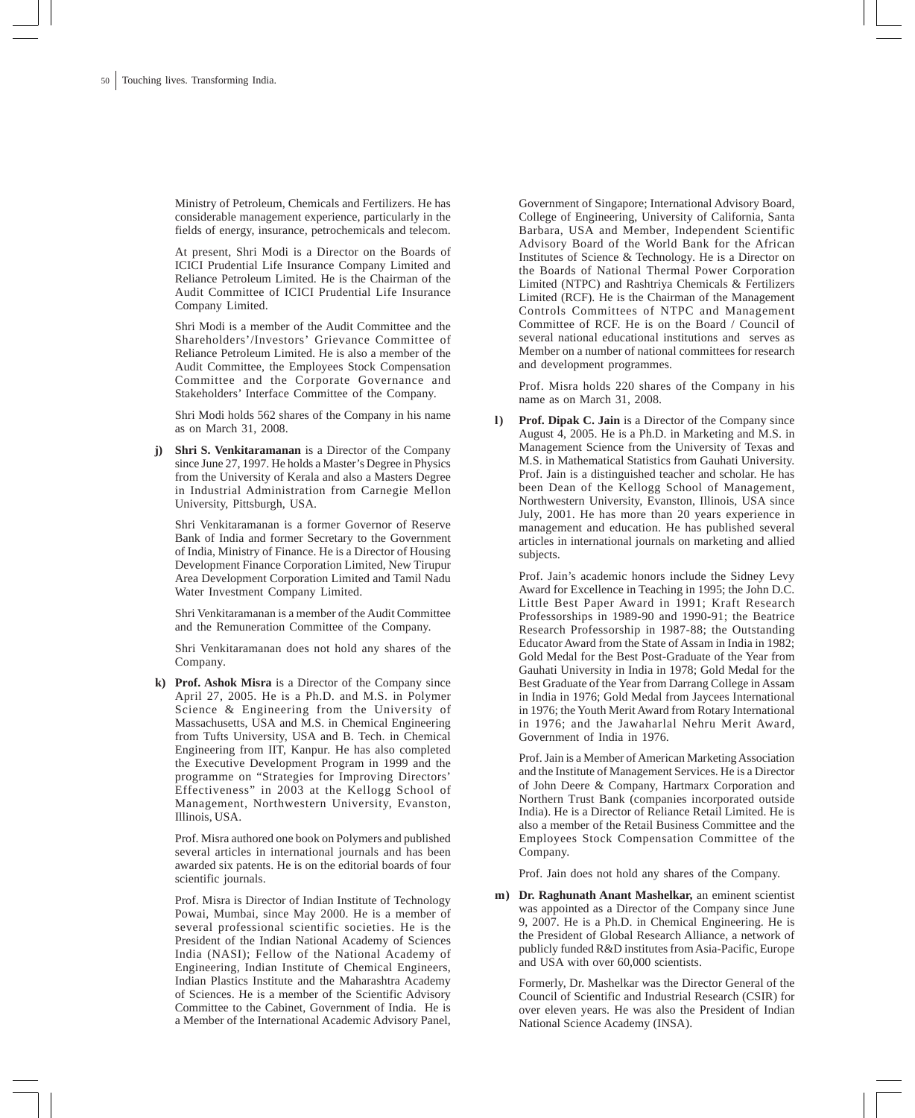Ministry of Petroleum, Chemicals and Fertilizers. He has considerable management experience, particularly in the fields of energy, insurance, petrochemicals and telecom.

At present, Shri Modi is a Director on the Boards of ICICI Prudential Life Insurance Company Limited and Reliance Petroleum Limited. He is the Chairman of the Audit Committee of ICICI Prudential Life Insurance Company Limited.

Shri Modi is a member of the Audit Committee and the Shareholders'/Investors' Grievance Committee of Reliance Petroleum Limited. He is also a member of the Audit Committee, the Employees Stock Compensation Committee and the Corporate Governance and Stakeholders' Interface Committee of the Company.

Shri Modi holds 562 shares of the Company in his name as on March 31, 2008.

**j) Shri S. Venkitaramanan** is a Director of the Company since June 27, 1997. He holds a Master's Degree in Physics from the University of Kerala and also a Masters Degree in Industrial Administration from Carnegie Mellon University, Pittsburgh, USA.

Shri Venkitaramanan is a former Governor of Reserve Bank of India and former Secretary to the Government of India, Ministry of Finance. He is a Director of Housing Development Finance Corporation Limited, New Tirupur Area Development Corporation Limited and Tamil Nadu Water Investment Company Limited.

Shri Venkitaramanan is a member of the Audit Committee and the Remuneration Committee of the Company.

Shri Venkitaramanan does not hold any shares of the Company.

**k) Prof. Ashok Misra** is a Director of the Company since April 27, 2005. He is a Ph.D. and M.S. in Polymer Science & Engineering from the University of Massachusetts, USA and M.S. in Chemical Engineering from Tufts University, USA and B. Tech. in Chemical Engineering from IIT, Kanpur. He has also completed the Executive Development Program in 1999 and the programme on "Strategies for Improving Directors' Effectiveness" in 2003 at the Kellogg School of Management, Northwestern University, Evanston, Illinois, USA.

Prof. Misra authored one book on Polymers and published several articles in international journals and has been awarded six patents. He is on the editorial boards of four scientific journals.

Prof. Misra is Director of Indian Institute of Technology Powai, Mumbai, since May 2000. He is a member of several professional scientific societies. He is the President of the Indian National Academy of Sciences India (NASI); Fellow of the National Academy of Engineering, Indian Institute of Chemical Engineers, Indian Plastics Institute and the Maharashtra Academy of Sciences. He is a member of the Scientific Advisory Committee to the Cabinet, Government of India. He is a Member of the International Academic Advisory Panel,

Government of Singapore; International Advisory Board, College of Engineering, University of California, Santa Barbara, USA and Member, Independent Scientific Advisory Board of the World Bank for the African Institutes of Science & Technology. He is a Director on the Boards of National Thermal Power Corporation Limited (NTPC) and Rashtriya Chemicals & Fertilizers Limited (RCF). He is the Chairman of the Management Controls Committees of NTPC and Management Committee of RCF. He is on the Board / Council of several national educational institutions and serves as Member on a number of national committees for research and development programmes.

Prof. Misra holds 220 shares of the Company in his name as on March 31, 2008.

**l) Prof. Dipak C. Jain** is a Director of the Company since August 4, 2005. He is a Ph.D. in Marketing and M.S. in Management Science from the University of Texas and M.S. in Mathematical Statistics from Gauhati University. Prof. Jain is a distinguished teacher and scholar. He has been Dean of the Kellogg School of Management, Northwestern University, Evanston, Illinois, USA since July, 2001. He has more than 20 years experience in management and education. He has published several articles in international journals on marketing and allied subjects.

Prof. Jain's academic honors include the Sidney Levy Award for Excellence in Teaching in 1995; the John D.C. Little Best Paper Award in 1991; Kraft Research Professorships in 1989-90 and 1990-91; the Beatrice Research Professorship in 1987-88; the Outstanding Educator Award from the State of Assam in India in 1982; Gold Medal for the Best Post-Graduate of the Year from Gauhati University in India in 1978; Gold Medal for the Best Graduate of the Year from Darrang College in Assam in India in 1976; Gold Medal from Jaycees International in 1976; the Youth Merit Award from Rotary International in 1976; and the Jawaharlal Nehru Merit Award, Government of India in 1976.

Prof. Jain is a Member of American Marketing Association and the Institute of Management Services. He is a Director of John Deere & Company, Hartmarx Corporation and Northern Trust Bank (companies incorporated outside India). He is a Director of Reliance Retail Limited. He is also a member of the Retail Business Committee and the Employees Stock Compensation Committee of the Company.

Prof. Jain does not hold any shares of the Company.

**m) Dr. Raghunath Anant Mashelkar,** an eminent scientist was appointed as a Director of the Company since June 9, 2007. He is a Ph.D. in Chemical Engineering. He is the President of Global Research Alliance, a network of publicly funded R&D institutes from Asia-Pacific, Europe and USA with over 60,000 scientists.

Formerly, Dr. Mashelkar was the Director General of the Council of Scientific and Industrial Research (CSIR) for over eleven years. He was also the President of Indian National Science Academy (INSA).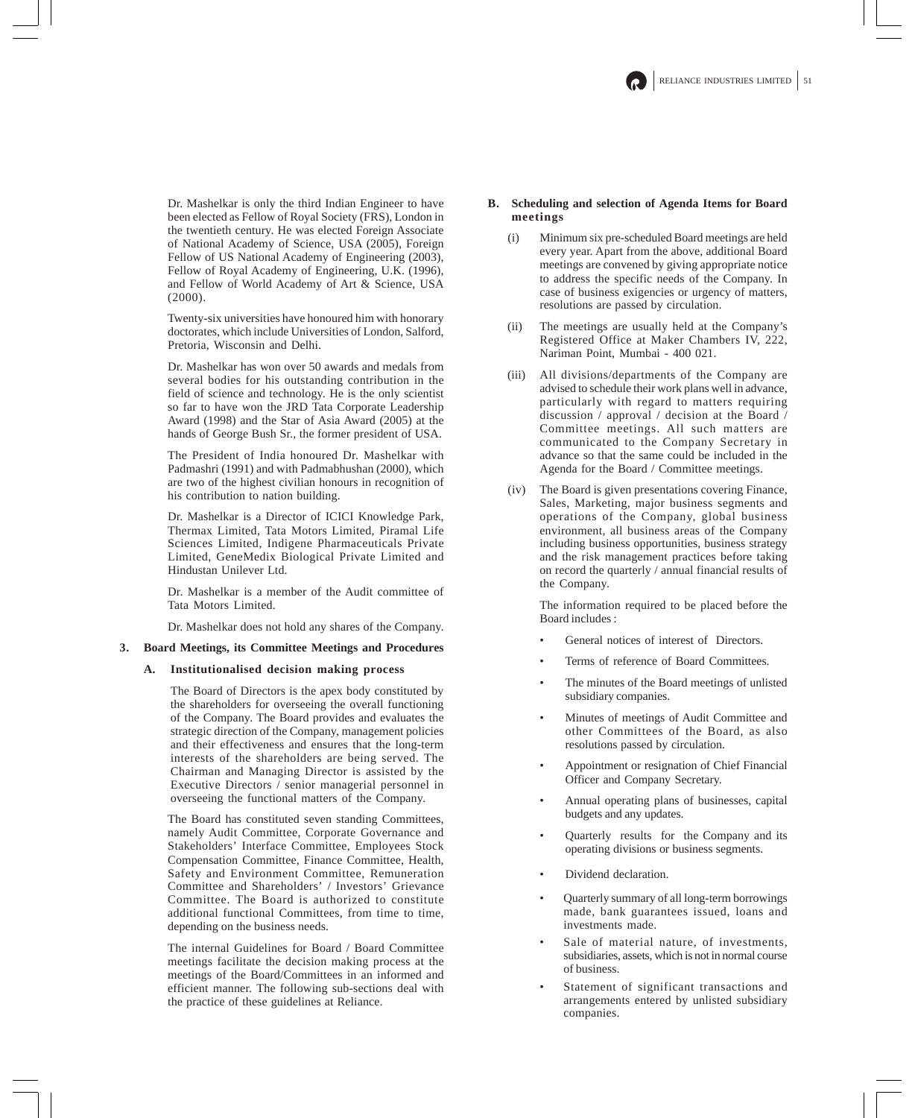Dr. Mashelkar is only the third Indian Engineer to have been elected as Fellow of Royal Society (FRS), London in the twentieth century. He was elected Foreign Associate of National Academy of Science, USA (2005), Foreign Fellow of US National Academy of Engineering (2003), Fellow of Royal Academy of Engineering, U.K. (1996), and Fellow of World Academy of Art & Science, USA (2000).

Twenty-six universities have honoured him with honorary doctorates, which include Universities of London, Salford, Pretoria, Wisconsin and Delhi.

Dr. Mashelkar has won over 50 awards and medals from several bodies for his outstanding contribution in the field of science and technology. He is the only scientist so far to have won the JRD Tata Corporate Leadership Award (1998) and the Star of Asia Award (2005) at the hands of George Bush Sr., the former president of USA.

The President of India honoured Dr. Mashelkar with Padmashri (1991) and with Padmabhushan (2000), which are two of the highest civilian honours in recognition of his contribution to nation building.

Dr. Mashelkar is a Director of ICICI Knowledge Park, Thermax Limited, Tata Motors Limited, Piramal Life Sciences Limited, Indigene Pharmaceuticals Private Limited, GeneMedix Biological Private Limited and Hindustan Unilever Ltd.

Dr. Mashelkar is a member of the Audit committee of Tata Motors Limited.

Dr. Mashelkar does not hold any shares of the Company.

### **3. Board Meetings, its Committee Meetings and Procedures**

### **A. Institutionalised decision making process**

The Board of Directors is the apex body constituted by the shareholders for overseeing the overall functioning of the Company. The Board provides and evaluates the strategic direction of the Company, management policies and their effectiveness and ensures that the long-term interests of the shareholders are being served. The Chairman and Managing Director is assisted by the Executive Directors / senior managerial personnel in overseeing the functional matters of the Company.

The Board has constituted seven standing Committees, namely Audit Committee, Corporate Governance and Stakeholders' Interface Committee, Employees Stock Compensation Committee, Finance Committee, Health, Safety and Environment Committee, Remuneration Committee and Shareholders' / Investors' Grievance Committee. The Board is authorized to constitute additional functional Committees, from time to time, depending on the business needs.

The internal Guidelines for Board / Board Committee meetings facilitate the decision making process at the meetings of the Board/Committees in an informed and efficient manner. The following sub-sections deal with the practice of these guidelines at Reliance.

### **B. Scheduling and selection of Agenda Items for Board meetings**

- (i) Minimum six pre-scheduled Board meetings are held every year. Apart from the above, additional Board meetings are convened by giving appropriate notice to address the specific needs of the Company. In case of business exigencies or urgency of matters, resolutions are passed by circulation.
- (ii) The meetings are usually held at the Company's Registered Office at Maker Chambers IV, 222, Nariman Point, Mumbai - 400 021.
- (iii) All divisions/departments of the Company are advised to schedule their work plans well in advance, particularly with regard to matters requiring discussion / approval / decision at the Board / Committee meetings. All such matters are communicated to the Company Secretary in advance so that the same could be included in the Agenda for the Board / Committee meetings.
- (iv) The Board is given presentations covering Finance, Sales, Marketing, major business segments and operations of the Company, global business environment, all business areas of the Company including business opportunities, business strategy and the risk management practices before taking on record the quarterly / annual financial results of the Company.

The information required to be placed before the Board includes :

- General notices of interest of Directors.
- Terms of reference of Board Committees.
- The minutes of the Board meetings of unlisted subsidiary companies.
- Minutes of meetings of Audit Committee and other Committees of the Board, as also resolutions passed by circulation.
- Appointment or resignation of Chief Financial Officer and Company Secretary.
- Annual operating plans of businesses, capital budgets and any updates.
- Quarterly results for the Company and its operating divisions or business segments.
- Dividend declaration.
- Quarterly summary of all long-term borrowings made, bank guarantees issued, loans and investments made.
- Sale of material nature, of investments, subsidiaries, assets, which is not in normal course of business.
- Statement of significant transactions and arrangements entered by unlisted subsidiary companies.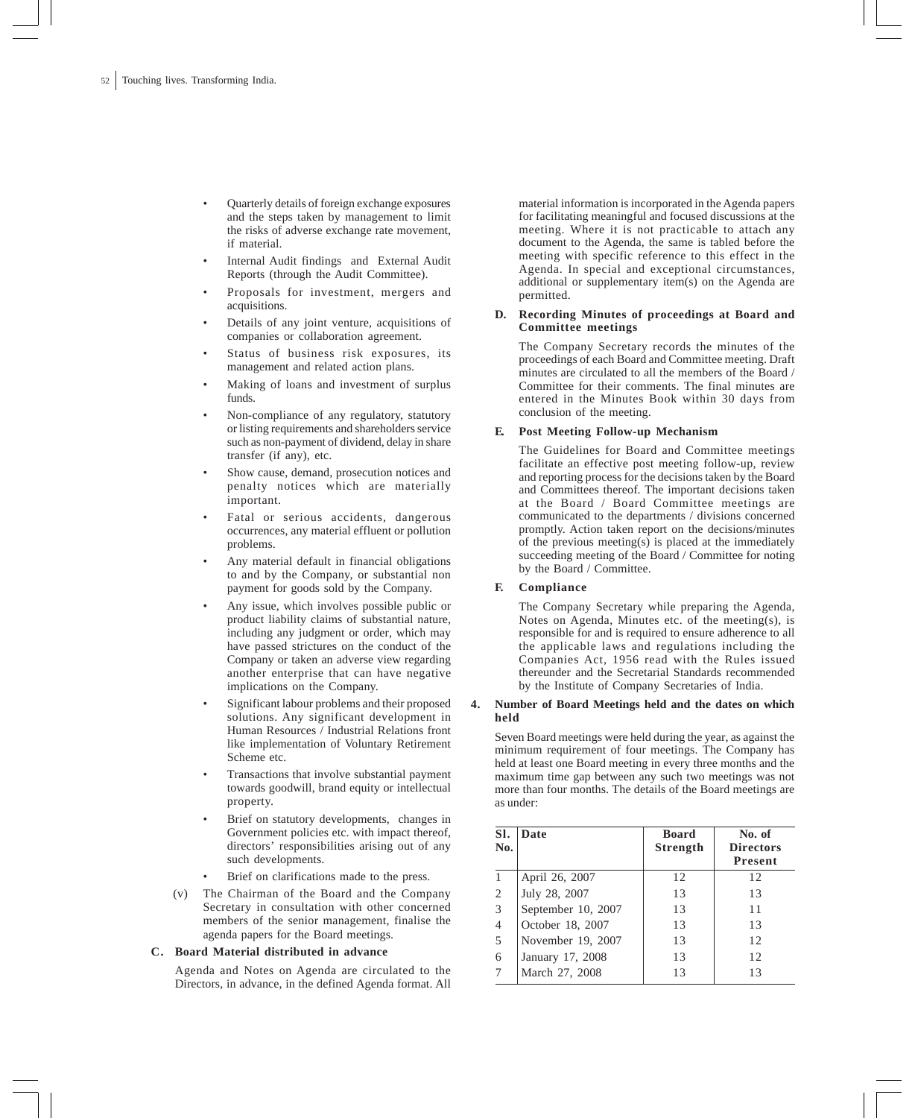- Quarterly details of foreign exchange exposures and the steps taken by management to limit the risks of adverse exchange rate movement, if material.
- Internal Audit findings and External Audit Reports (through the Audit Committee).
- Proposals for investment, mergers and acquisitions.
- Details of any joint venture, acquisitions of companies or collaboration agreement.
- Status of business risk exposures, its management and related action plans.
- Making of loans and investment of surplus funds.
- Non-compliance of any regulatory, statutory or listing requirements and shareholders service such as non-payment of dividend, delay in share transfer (if any), etc.
- Show cause, demand, prosecution notices and penalty notices which are materially important.
- Fatal or serious accidents, dangerous occurrences, any material effluent or pollution problems.
- Any material default in financial obligations to and by the Company, or substantial non payment for goods sold by the Company.
- Any issue, which involves possible public or product liability claims of substantial nature, including any judgment or order, which may have passed strictures on the conduct of the Company or taken an adverse view regarding another enterprise that can have negative implications on the Company.
- Significant labour problems and their proposed solutions. Any significant development in Human Resources / Industrial Relations front like implementation of Voluntary Retirement Scheme etc.
- Transactions that involve substantial payment towards goodwill, brand equity or intellectual property.
- Brief on statutory developments, changes in Government policies etc. with impact thereof, directors' responsibilities arising out of any such developments.
- Brief on clarifications made to the press.
- (v) The Chairman of the Board and the Company Secretary in consultation with other concerned members of the senior management, finalise the agenda papers for the Board meetings.

### **C. Board Material distributed in advance**

Agenda and Notes on Agenda are circulated to the Directors, in advance, in the defined Agenda format. All material information is incorporated in the Agenda papers for facilitating meaningful and focused discussions at the meeting. Where it is not practicable to attach any document to the Agenda, the same is tabled before the meeting with specific reference to this effect in the Agenda. In special and exceptional circumstances, additional or supplementary item(s) on the Agenda are permitted.

### **D. Recording Minutes of proceedings at Board and Committee meetings**

The Company Secretary records the minutes of the proceedings of each Board and Committee meeting. Draft minutes are circulated to all the members of the Board / Committee for their comments. The final minutes are entered in the Minutes Book within 30 days from conclusion of the meeting.

### **E. Post Meeting Follow-up Mechanism**

The Guidelines for Board and Committee meetings facilitate an effective post meeting follow-up, review and reporting process for the decisions taken by the Board and Committees thereof. The important decisions taken at the Board / Board Committee meetings are communicated to the departments / divisions concerned promptly. Action taken report on the decisions/minutes of the previous meeting(s) is placed at the immediately succeeding meeting of the Board / Committee for noting by the Board / Committee.

## **F. Compliance**

The Company Secretary while preparing the Agenda, Notes on Agenda, Minutes etc. of the meeting(s), is responsible for and is required to ensure adherence to all the applicable laws and regulations including the Companies Act, 1956 read with the Rules issued thereunder and the Secretarial Standards recommended by the Institute of Company Secretaries of India.

## **4. Number of Board Meetings held and the dates on which held**

Seven Board meetings were held during the year, as against the minimum requirement of four meetings. The Company has held at least one Board meeting in every three months and the maximum time gap between any such two meetings was not more than four months. The details of the Board meetings are as under:

| SI.<br>No.     | Date               | <b>Board</b><br>Strength | No. of<br><b>Directors</b><br><b>Present</b> |
|----------------|--------------------|--------------------------|----------------------------------------------|
|                | April 26, 2007     | 12                       | 12                                           |
| 2              | July 28, 2007      | 13                       | 13                                           |
| 3              | September 10, 2007 | 13                       | 11                                           |
| $\overline{4}$ | October 18, 2007   | 13                       | 13                                           |
| 5              | November 19, 2007  | 13                       | 12                                           |
| 6              | January 17, 2008   | 13                       | 12                                           |
| 7              | March 27, 2008     | 13                       | 13                                           |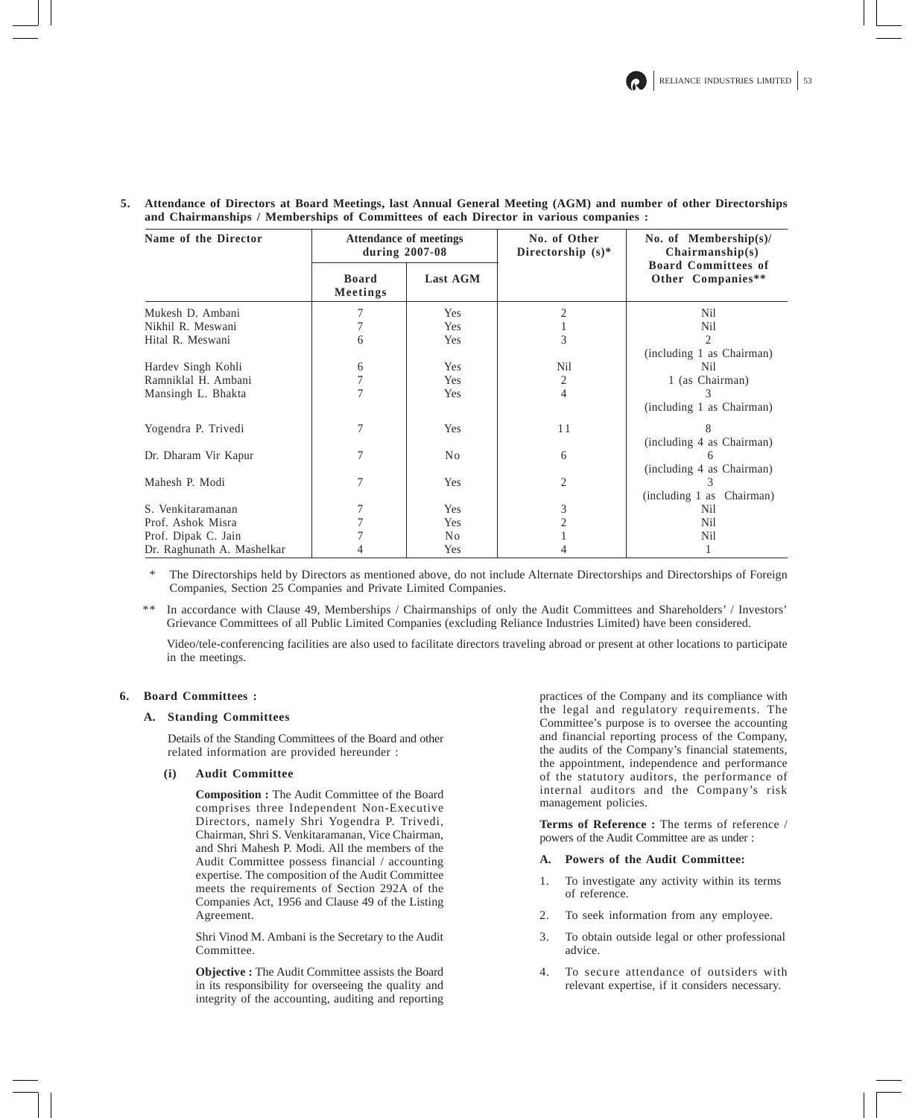| Name of the Director       | Attendance of meetings<br>during $2007-08$ |                | No. of Other<br>Directorship $(s)^*$ | No. of Membership $(s)$ /<br>Chairmanship(s)    |  |
|----------------------------|--------------------------------------------|----------------|--------------------------------------|-------------------------------------------------|--|
|                            | <b>Board</b><br>Meetings                   | Last AGM       |                                      | <b>Board Committees of</b><br>Other Companies** |  |
| Mukesh D. Ambani           |                                            | Yes            |                                      | Nil                                             |  |
| Nikhil R. Meswani          |                                            | Yes            |                                      | Nil                                             |  |
| Hital R. Meswani           | 6                                          | Yes            | 3                                    | $\mathfrak{D}$                                  |  |
|                            |                                            |                |                                      | (including 1 as Chairman)                       |  |
| Hardev Singh Kohli         | 6                                          | <b>Yes</b>     | Nil                                  | Nil                                             |  |
| Ramniklal H. Ambani        |                                            | Yes            | 2                                    | 1 (as Chairman)                                 |  |
| Mansingh L. Bhakta         |                                            | Yes            | 4                                    |                                                 |  |
|                            |                                            |                |                                      | (including 1 as Chairman)                       |  |
| Yogendra P. Trivedi        | 7                                          | Yes            | 11                                   | 8                                               |  |
|                            |                                            |                |                                      | (including 4 as Chairman)                       |  |
| Dr. Dharam Vir Kapur       | 7                                          | No             | 6                                    |                                                 |  |
|                            |                                            |                |                                      | (including 4 as Chairman)                       |  |
| Mahesh P. Modi             | 7                                          | Yes            | 2                                    | 3                                               |  |
|                            |                                            |                |                                      | (including 1 as Chairman)                       |  |
| S. Venkitaramanan          | 7                                          | Yes            | 3                                    | Nil                                             |  |
| Prof. Ashok Misra          |                                            | Yes            |                                      | Nil                                             |  |
| Prof. Dipak C. Jain        |                                            | N <sub>0</sub> |                                      | Nil                                             |  |
| Dr. Raghunath A. Mashelkar |                                            | Yes            |                                      |                                                 |  |

**5. Attendance of Directors at Board Meetings, last Annual General Meeting (AGM) and number of other Directorships and Chairmanships / Memberships of Committees of each Director in various companies :**

The Directorships held by Directors as mentioned above, do not include Alternate Directorships and Directorships of Foreign Companies, Section 25 Companies and Private Limited Companies.

\*\* In accordance with Clause 49, Memberships / Chairmanships of only the Audit Committees and Shareholders' / Investors' Grievance Committees of all Public Limited Companies (excluding Reliance Industries Limited) have been considered.

Video/tele-conferencing facilities are also used to facilitate directors traveling abroad or present at other locations to participate in the meetings.

## **6. Board Committees :**

### **A. Standing Committees**

Details of the Standing Committees of the Board and other related information are provided hereunder :

### **(i) Audit Committee**

**Composition :** The Audit Committee of the Board comprises three Independent Non-Executive Directors, namely Shri Yogendra P. Trivedi, Chairman, Shri S. Venkitaramanan, Vice Chairman, and Shri Mahesh P. Modi. All the members of the Audit Committee possess financial / accounting expertise. The composition of the Audit Committee meets the requirements of Section 292A of the Companies Act, 1956 and Clause 49 of the Listing Agreement.

Shri Vinod M. Ambani is the Secretary to the Audit Committee.

**Objective :** The Audit Committee assists the Board in its responsibility for overseeing the quality and integrity of the accounting, auditing and reporting practices of the Company and its compliance with the legal and regulatory requirements. The Committee's purpose is to oversee the accounting and financial reporting process of the Company, the audits of the Company's financial statements, the appointment, independence and performance of the statutory auditors, the performance of internal auditors and the Company's risk management policies.

**Terms of Reference :** The terms of reference / powers of the Audit Committee are as under :

### **A. Powers of the Audit Committee:**

- 1. To investigate any activity within its terms of reference.
- 2. To seek information from any employee.
- 3. To obtain outside legal or other professional advice.
- 4. To secure attendance of outsiders with relevant expertise, if it considers necessary.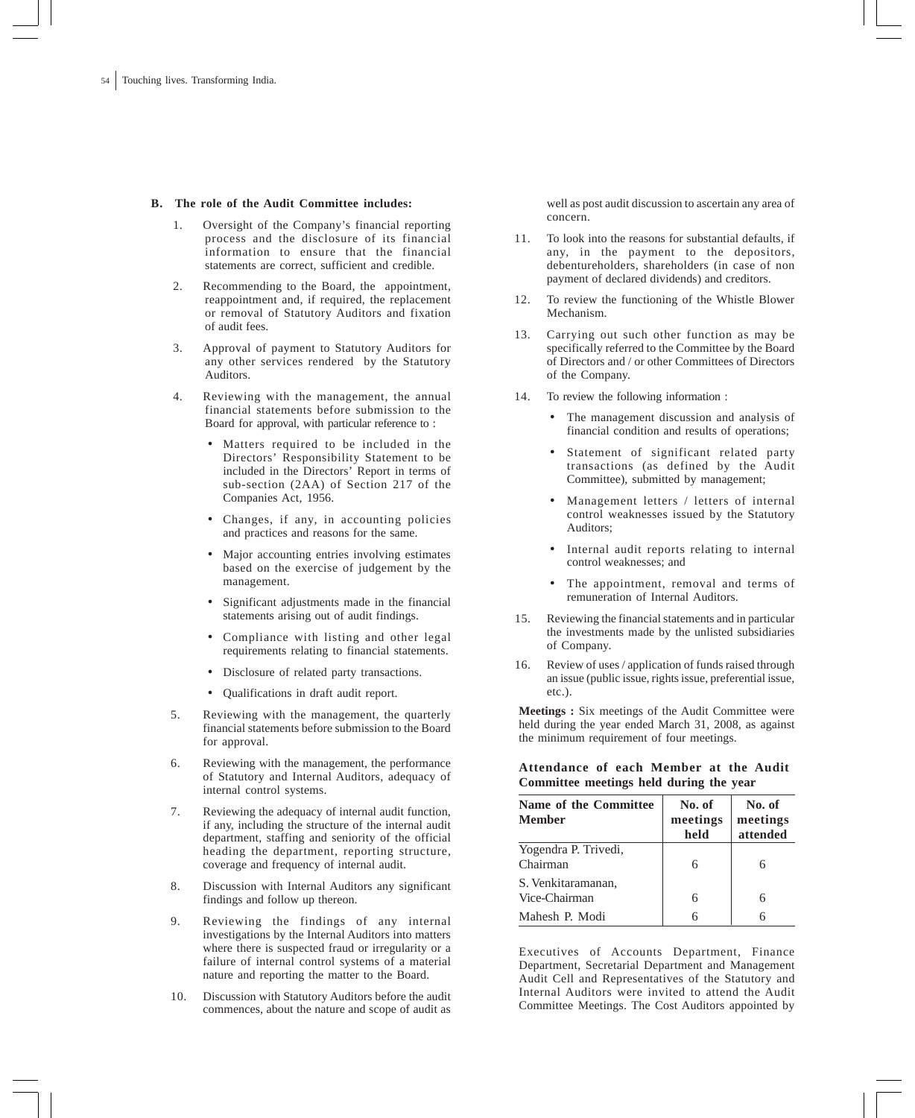### **B. The role of the Audit Committee includes:**

- 1. Oversight of the Company's financial reporting process and the disclosure of its financial information to ensure that the financial statements are correct, sufficient and credible.
- 2. Recommending to the Board, the appointment, reappointment and, if required, the replacement or removal of Statutory Auditors and fixation of audit fees.
- 3. Approval of payment to Statutory Auditors for any other services rendered by the Statutory Auditors.
- 4. Reviewing with the management, the annual financial statements before submission to the Board for approval, with particular reference to :
	- Matters required to be included in the Directors' Responsibility Statement to be included in the Directors' Report in terms of sub-section (2AA) of Section 217 of the Companies Act, 1956.
	- Changes, if any, in accounting policies and practices and reasons for the same.
	- Major accounting entries involving estimates based on the exercise of judgement by the management.
	- Significant adjustments made in the financial statements arising out of audit findings.
	- Compliance with listing and other legal requirements relating to financial statements.
	- Disclosure of related party transactions.
	- Qualifications in draft audit report.
- 5. Reviewing with the management, the quarterly financial statements before submission to the Board for approval.
- 6. Reviewing with the management, the performance of Statutory and Internal Auditors, adequacy of internal control systems.
- 7. Reviewing the adequacy of internal audit function, if any, including the structure of the internal audit department, staffing and seniority of the official heading the department, reporting structure, coverage and frequency of internal audit.
- 8. Discussion with Internal Auditors any significant findings and follow up thereon.
- 9. Reviewing the findings of any internal investigations by the Internal Auditors into matters where there is suspected fraud or irregularity or a failure of internal control systems of a material nature and reporting the matter to the Board.
- 10. Discussion with Statutory Auditors before the audit commences, about the nature and scope of audit as

well as post audit discussion to ascertain any area of concern.

- 11. To look into the reasons for substantial defaults, if any, in the payment to the depositors, debentureholders, shareholders (in case of non payment of declared dividends) and creditors.
- 12. To review the functioning of the Whistle Blower Mechanism.
- 13. Carrying out such other function as may be specifically referred to the Committee by the Board of Directors and / or other Committees of Directors of the Company.
- 14. To review the following information :
	- The management discussion and analysis of financial condition and results of operations;
	- Statement of significant related party transactions (as defined by the Audit Committee), submitted by management;
	- Management letters / letters of internal control weaknesses issued by the Statutory Auditors;
	- Internal audit reports relating to internal control weaknesses; and
	- The appointment, removal and terms of remuneration of Internal Auditors.
- 15. Reviewing the financial statements and in particular the investments made by the unlisted subsidiaries of Company.
- 16. Review of uses / application of funds raised through an issue (public issue, rights issue, preferential issue, etc.).

**Meetings :** Six meetings of the Audit Committee were held during the year ended March 31, 2008, as against the minimum requirement of four meetings.

**Attendance of each Member at the Audit Committee meetings held during the year**

| Name of the Committee<br><b>Member</b> | No. of<br>meetings<br>held | No. of<br>meetings<br>attended |
|----------------------------------------|----------------------------|--------------------------------|
| Yogendra P. Trivedi,<br>Chairman       |                            |                                |
| S. Venkitaramanan,<br>Vice-Chairman    |                            | 6                              |
| Mahesh P. Modi                         |                            |                                |

Executives of Accounts Department, Finance Department, Secretarial Department and Management Audit Cell and Representatives of the Statutory and Internal Auditors were invited to attend the Audit Committee Meetings. The Cost Auditors appointed by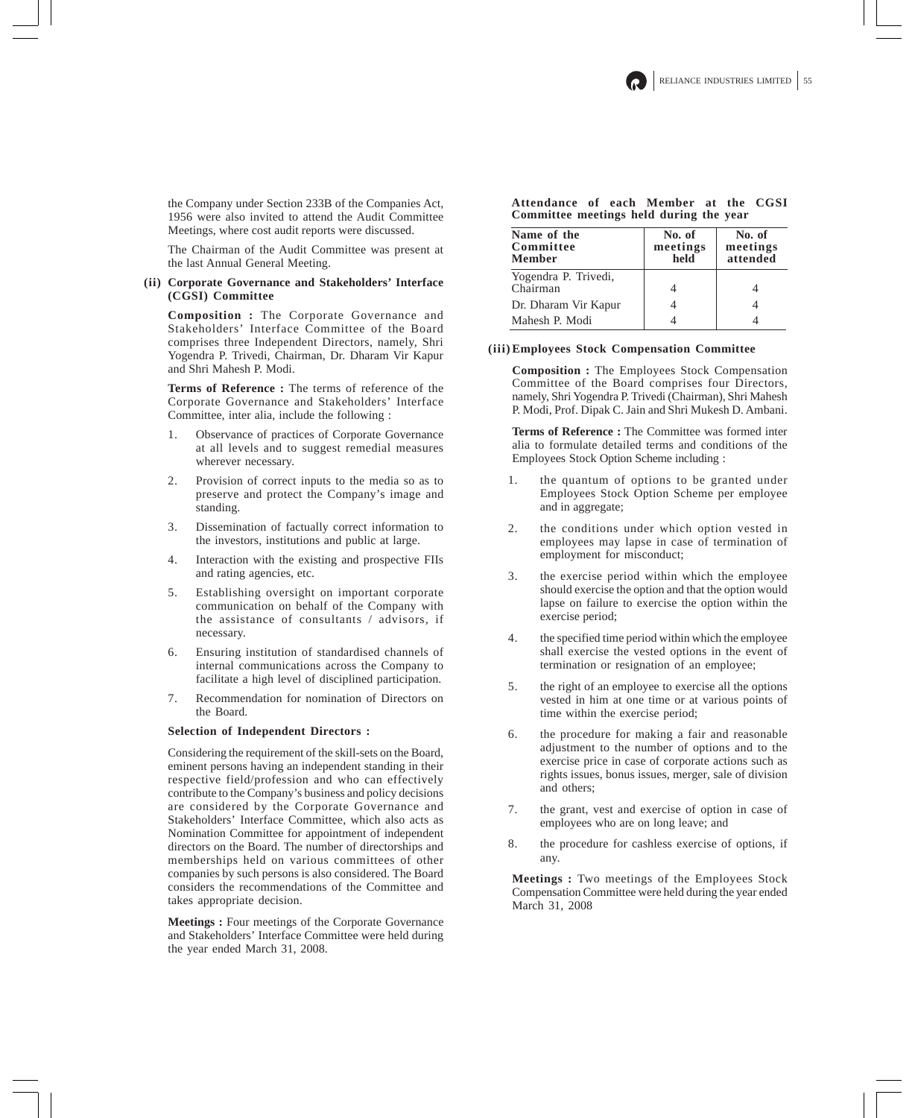the Company under Section 233B of the Companies Act, 1956 were also invited to attend the Audit Committee Meetings, where cost audit reports were discussed.

The Chairman of the Audit Committee was present at the last Annual General Meeting.

## **(ii) Corporate Governance and Stakeholders' Interface (CGSI) Committee**

**Composition :** The Corporate Governance and Stakeholders' Interface Committee of the Board comprises three Independent Directors, namely, Shri Yogendra P. Trivedi, Chairman, Dr. Dharam Vir Kapur and Shri Mahesh P. Modi.

**Terms of Reference :** The terms of reference of the Corporate Governance and Stakeholders' Interface Committee, inter alia, include the following :

- 1. Observance of practices of Corporate Governance at all levels and to suggest remedial measures wherever necessary.
- 2. Provision of correct inputs to the media so as to preserve and protect the Company's image and standing.
- 3. Dissemination of factually correct information to the investors, institutions and public at large.
- 4. Interaction with the existing and prospective FIIs and rating agencies, etc.
- 5. Establishing oversight on important corporate communication on behalf of the Company with the assistance of consultants / advisors, if necessary.
- 6. Ensuring institution of standardised channels of internal communications across the Company to facilitate a high level of disciplined participation.
- 7. Recommendation for nomination of Directors on the Board.

#### **Selection of Independent Directors :**

Considering the requirement of the skill-sets on the Board, eminent persons having an independent standing in their respective field/profession and who can effectively contribute to the Company's business and policy decisions are considered by the Corporate Governance and Stakeholders' Interface Committee, which also acts as Nomination Committee for appointment of independent directors on the Board. The number of directorships and memberships held on various committees of other companies by such persons is also considered. The Board considers the recommendations of the Committee and takes appropriate decision.

**Meetings :** Four meetings of the Corporate Governance and Stakeholders' Interface Committee were held during the year ended March 31, 2008.

## **Attendance of each Member at the CGSI Committee meetings held during the year**

| Name of the<br>Committee<br><b>Member</b> | No. of<br>meetings<br>held | No. of<br>meetings<br>attended |
|-------------------------------------------|----------------------------|--------------------------------|
| Yogendra P. Trivedi,<br>Chairman          |                            |                                |
| Dr. Dharam Vir Kapur                      |                            |                                |
| Mahesh P. Modi                            |                            |                                |

### **(iii)Employees Stock Compensation Committee**

**Composition :** The Employees Stock Compensation Committee of the Board comprises four Directors, namely, Shri Yogendra P. Trivedi (Chairman), Shri Mahesh P. Modi, Prof. Dipak C. Jain and Shri Mukesh D. Ambani.

**Terms of Reference :** The Committee was formed inter alia to formulate detailed terms and conditions of the Employees Stock Option Scheme including :

- 1. the quantum of options to be granted under Employees Stock Option Scheme per employee and in aggregate;
- 2. the conditions under which option vested in employees may lapse in case of termination of employment for misconduct;
- 3. the exercise period within which the employee should exercise the option and that the option would lapse on failure to exercise the option within the exercise period;
- 4. the specified time period within which the employee shall exercise the vested options in the event of termination or resignation of an employee;
- 5. the right of an employee to exercise all the options vested in him at one time or at various points of time within the exercise period;
- 6. the procedure for making a fair and reasonable adjustment to the number of options and to the exercise price in case of corporate actions such as rights issues, bonus issues, merger, sale of division and others;
- 7. the grant, vest and exercise of option in case of employees who are on long leave; and
- 8. the procedure for cashless exercise of options, if any.

**Meetings :** Two meetings of the Employees Stock Compensation Committee were held during the year ended March 31, 2008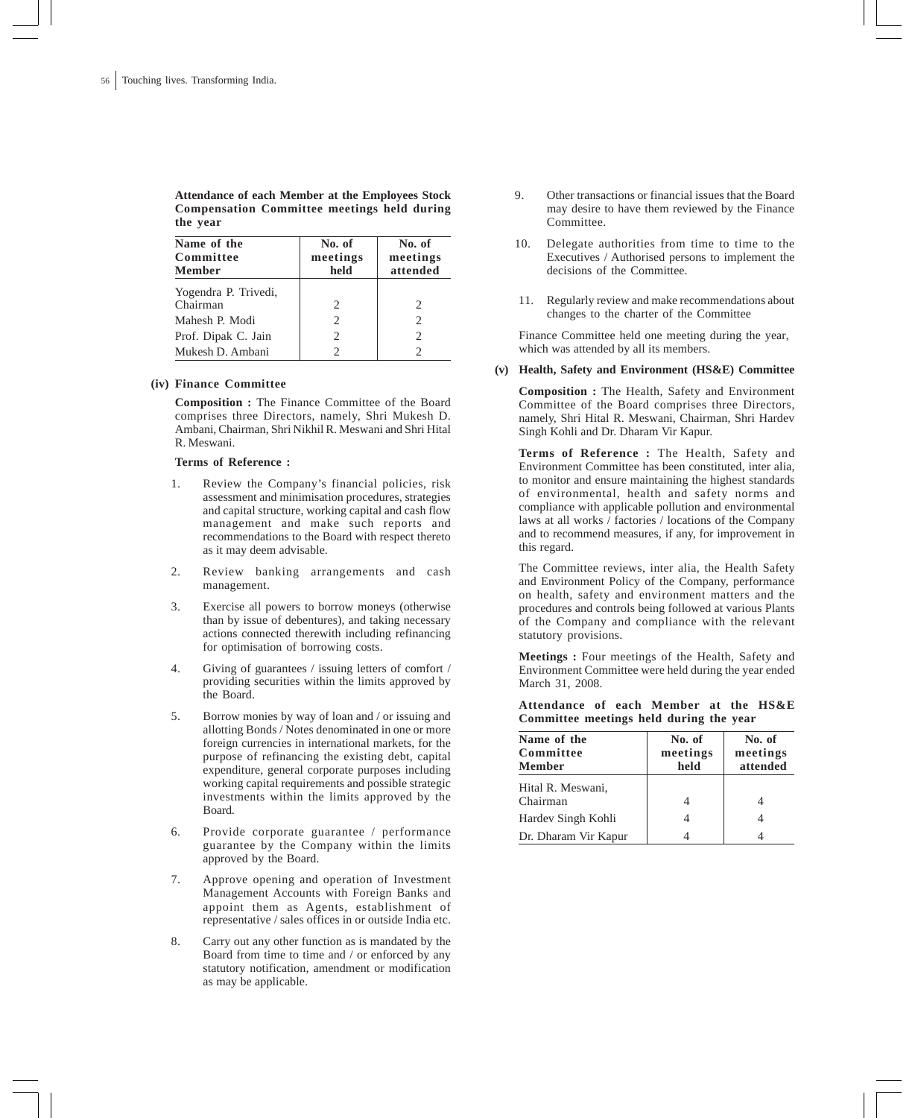**Attendance of each Member at the Employees Stock Compensation Committee meetings held during the year**

| Name of the<br>Committee<br><b>Member</b> | No. of<br>meetings<br>held    | No. of<br>meetings<br>attended |
|-------------------------------------------|-------------------------------|--------------------------------|
| Yogendra P. Trivedi,                      |                               |                                |
| Chairman                                  | $\mathfrak{D}_{\mathfrak{p}}$ | 2                              |
| Mahesh P. Modi                            | $\mathfrak{D}$                | $\mathcal{D}$                  |
| Prof. Dipak C. Jain                       | $\mathcal{D}_{\mathcal{L}}$   | $\mathcal{D}$                  |
| Mukesh D. Ambani                          | $\mathcal{P}$                 |                                |

### **(iv) Finance Committee**

**Composition :** The Finance Committee of the Board comprises three Directors, namely, Shri Mukesh D. Ambani, Chairman, Shri Nikhil R. Meswani and Shri Hital R. Meswani.

### **Terms of Reference :**

- 1. Review the Company's financial policies, risk assessment and minimisation procedures, strategies and capital structure, working capital and cash flow management and make such reports and recommendations to the Board with respect thereto as it may deem advisable.
- 2. Review banking arrangements and cash management.
- 3. Exercise all powers to borrow moneys (otherwise than by issue of debentures), and taking necessary actions connected therewith including refinancing for optimisation of borrowing costs.
- 4. Giving of guarantees / issuing letters of comfort / providing securities within the limits approved by the Board.
- 5. Borrow monies by way of loan and / or issuing and allotting Bonds / Notes denominated in one or more foreign currencies in international markets, for the purpose of refinancing the existing debt, capital expenditure, general corporate purposes including working capital requirements and possible strategic investments within the limits approved by the Board.
- 6. Provide corporate guarantee / performance guarantee by the Company within the limits approved by the Board.
- 7. Approve opening and operation of Investment Management Accounts with Foreign Banks and appoint them as Agents, establishment of representative / sales offices in or outside India etc.
- 8. Carry out any other function as is mandated by the Board from time to time and / or enforced by any statutory notification, amendment or modification as may be applicable.
- 9. Other transactions or financial issues that the Board may desire to have them reviewed by the Finance Committee.
- 10. Delegate authorities from time to time to the Executives / Authorised persons to implement the decisions of the Committee.
- 11. Regularly review and make recommendations about changes to the charter of the Committee

Finance Committee held one meeting during the year, which was attended by all its members.

### **(v) Health, Safety and Environment (HS&E) Committee**

**Composition :** The Health, Safety and Environment Committee of the Board comprises three Directors, namely, Shri Hital R. Meswani, Chairman, Shri Hardev Singh Kohli and Dr. Dharam Vir Kapur.

**Terms of Reference :** The Health, Safety and Environment Committee has been constituted, inter alia, to monitor and ensure maintaining the highest standards of environmental, health and safety norms and compliance with applicable pollution and environmental laws at all works / factories / locations of the Company and to recommend measures, if any, for improvement in this regard.

The Committee reviews, inter alia, the Health Safety and Environment Policy of the Company, performance on health, safety and environment matters and the procedures and controls being followed at various Plants of the Company and compliance with the relevant statutory provisions.

**Meetings :** Four meetings of the Health, Safety and Environment Committee were held during the year ended March 31, 2008.

**Attendance of each Member at the HS&E Committee meetings held during the year**

| Name of the<br>Committee<br>Member | No. of<br>meetings<br>held | No. of<br>meetings<br>attended |
|------------------------------------|----------------------------|--------------------------------|
| Hital R. Meswani,<br>Chairman      |                            |                                |
| Hardev Singh Kohli                 |                            |                                |
| Dr. Dharam Vir Kapur               |                            |                                |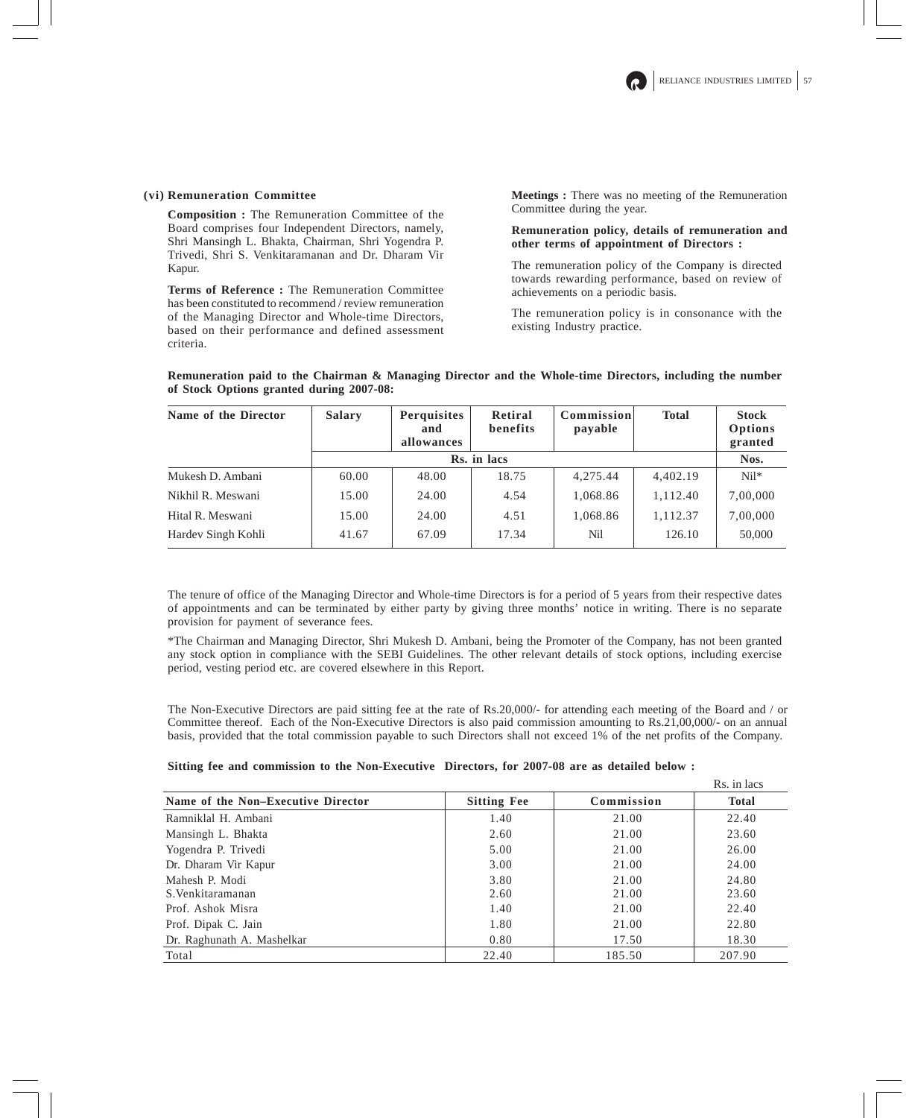## **(vi) Remuneration Committee**

**Composition :** The Remuneration Committee of the Board comprises four Independent Directors, namely, Shri Mansingh L. Bhakta, Chairman, Shri Yogendra P. Trivedi, Shri S. Venkitaramanan and Dr. Dharam Vir Kapur.

**Terms of Reference :** The Remuneration Committee has been constituted to recommend / review remuneration of the Managing Director and Whole-time Directors, based on their performance and defined assessment criteria.

**Meetings :** There was no meeting of the Remuneration Committee during the year.

## **Remuneration policy, details of remuneration and other terms of appointment of Directors :**

The remuneration policy of the Company is directed towards rewarding performance, based on review of achievements on a periodic basis.

The remuneration policy is in consonance with the existing Industry practice.

| Name of the Director | <b>Salary</b> | <b>Perquisites</b><br>and<br>allowances | Retiral<br>benefits | Commission<br>payable | <b>Total</b> | <b>Stock</b><br>Options<br>granted |
|----------------------|---------------|-----------------------------------------|---------------------|-----------------------|--------------|------------------------------------|
|                      |               |                                         | Rs. in lacs         |                       |              | Nos.                               |
| Mukesh D. Ambani     | 60.00         | 48.00                                   | 18.75               | 4.275.44              | 4.402.19     | $Ni1*$                             |
| Nikhil R. Meswani    | 15.00         | 24.00                                   | 4.54                | 1,068.86              | 1,112.40     | 7,00,000                           |
| Hital R. Meswani     | 15.00         | 24.00                                   | 4.51                | 1,068.86              | 1,112.37     | 7,00,000                           |
| Hardev Singh Kohli   | 41.67         | 67.09                                   | 17.34               | Nil                   | 126.10       | 50,000                             |

**Remuneration paid to the Chairman & Managing Director and the Whole-time Directors, including the number of Stock Options granted during 2007-08:**

The tenure of office of the Managing Director and Whole-time Directors is for a period of 5 years from their respective dates of appointments and can be terminated by either party by giving three months' notice in writing. There is no separate provision for payment of severance fees.

\*The Chairman and Managing Director, Shri Mukesh D. Ambani, being the Promoter of the Company, has not been granted any stock option in compliance with the SEBI Guidelines. The other relevant details of stock options, including exercise period, vesting period etc. are covered elsewhere in this Report.

The Non-Executive Directors are paid sitting fee at the rate of Rs.20,000/- for attending each meeting of the Board and / or Committee thereof. Each of the Non-Executive Directors is also paid commission amounting to Rs.21,00,000/- on an annual basis, provided that the total commission payable to such Directors shall not exceed 1% of the net profits of the Company.

|                                    |                    |            | Rs. in lacs  |
|------------------------------------|--------------------|------------|--------------|
| Name of the Non-Executive Director | <b>Sitting Fee</b> | Commission | <b>Total</b> |
| Ramniklal H. Ambani                | 1.40               | 21.00      | 22.40        |
| Mansingh L. Bhakta                 | 2.60               | 21.00      | 23.60        |
| Yogendra P. Trivedi                | 5.00               | 21.00      | 26.00        |
| Dr. Dharam Vir Kapur               | 3.00               | 21.00      | 24.00        |
| Mahesh P. Modi                     | 3.80               | 21.00      | 24.80        |
| S. Venkitaramanan                  | 2.60               | 21.00      | 23.60        |
| Prof. Ashok Misra                  | 1.40               | 21.00      | 22.40        |
| Prof. Dipak C. Jain                | 1.80               | 21.00      | 22.80        |
| Dr. Raghunath A. Mashelkar         | 0.80               | 17.50      | 18.30        |
| Total                              | 22.40              | 185.50     | 207.90       |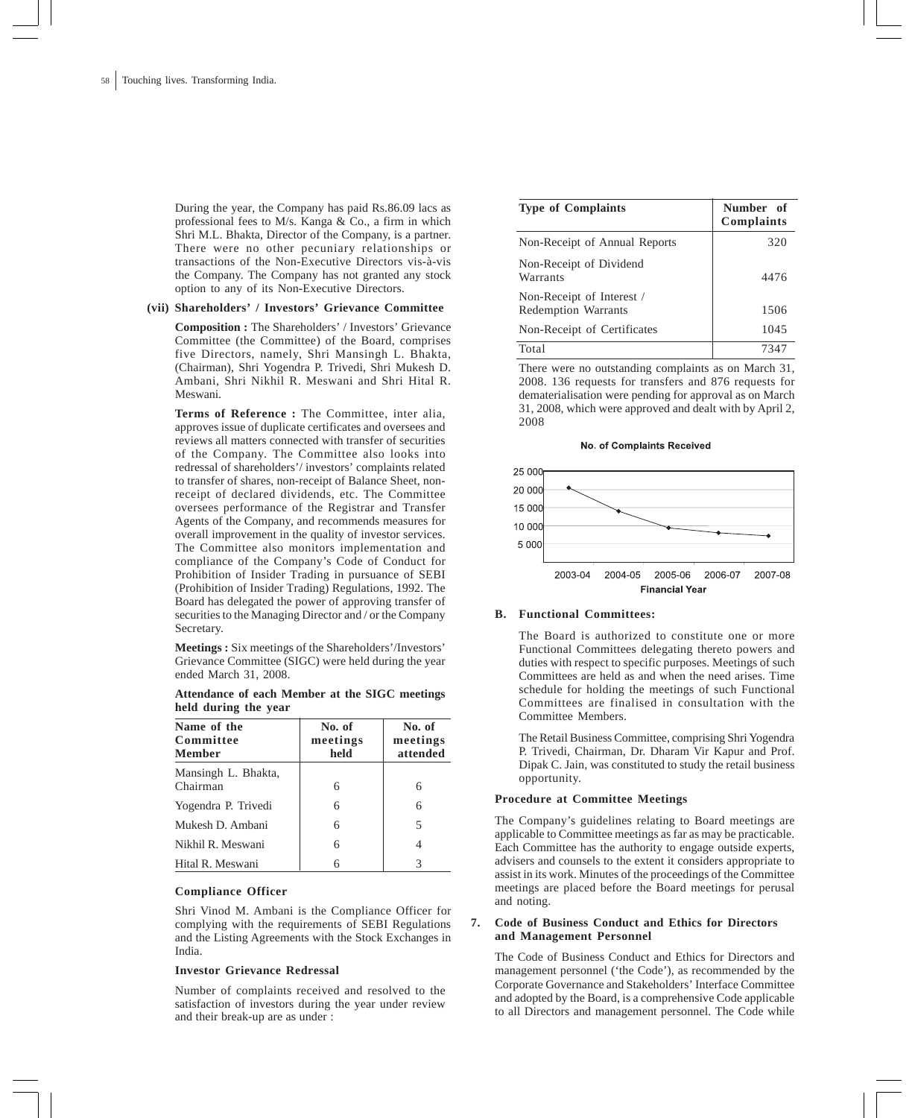During the year, the Company has paid Rs.86.09 lacs as professional fees to M/s. Kanga & Co., a firm in which Shri M.L. Bhakta, Director of the Company, is a partner. There were no other pecuniary relationships or transactions of the Non-Executive Directors vis-à-vis the Company. The Company has not granted any stock option to any of its Non-Executive Directors.

### **(vii) Shareholders' / Investors' Grievance Committee**

**Composition :** The Shareholders' / Investors' Grievance Committee (the Committee) of the Board, comprises five Directors, namely, Shri Mansingh L. Bhakta, (Chairman), Shri Yogendra P. Trivedi, Shri Mukesh D. Ambani, Shri Nikhil R. Meswani and Shri Hital R. Meswani.

**Terms of Reference :** The Committee, inter alia, approves issue of duplicate certificates and oversees and reviews all matters connected with transfer of securities of the Company. The Committee also looks into redressal of shareholders'/ investors' complaints related to transfer of shares, non-receipt of Balance Sheet, nonreceipt of declared dividends, etc. The Committee oversees performance of the Registrar and Transfer Agents of the Company, and recommends measures for overall improvement in the quality of investor services. The Committee also monitors implementation and compliance of the Company's Code of Conduct for Prohibition of Insider Trading in pursuance of SEBI (Prohibition of Insider Trading) Regulations, 1992. The Board has delegated the power of approving transfer of securities to the Managing Director and / or the Company Secretary.

**Meetings :** Six meetings of the Shareholders'/Investors' Grievance Committee (SIGC) were held during the year ended March 31, 2008.

**Attendance of each Member at the SIGC meetings held during the year**

| Name of the<br>Committee<br><b>Member</b> | No. of<br>meetings<br>held | No. of<br>meetings<br>attended |
|-------------------------------------------|----------------------------|--------------------------------|
| Mansingh L. Bhakta,<br>Chairman           | 6                          | 6                              |
| Yogendra P. Trivedi                       | 6                          | 6                              |
| Mukesh D. Ambani                          | 6                          | 5                              |
| Nikhil R. Meswani                         | 6                          | 4                              |
| Hital R. Meswani                          | 6                          | 3                              |

### **Compliance Officer**

Shri Vinod M. Ambani is the Compliance Officer for complying with the requirements of SEBI Regulations and the Listing Agreements with the Stock Exchanges in India.

### **Investor Grievance Redressal**

Number of complaints received and resolved to the satisfaction of investors during the year under review and their break-up are as under :

| <b>Type of Complaints</b>                               | Number of<br>Complaints |
|---------------------------------------------------------|-------------------------|
| Non-Receipt of Annual Reports                           | 320                     |
| Non-Receipt of Dividend<br>Warrants                     | 4476                    |
| Non-Receipt of Interest /<br><b>Redemption Warrants</b> | 1506                    |
| Non-Receipt of Certificates                             | 1045                    |
| Total                                                   | 7347                    |

There were no outstanding complaints as on March 31, 2008. 136 requests for transfers and 876 requests for dematerialisation were pending for approval as on March 31, 2008, which were approved and dealt with by April 2, 2008

No. of Complaints Received



#### **B. Functional Committees:**

The Board is authorized to constitute one or more Functional Committees delegating thereto powers and duties with respect to specific purposes. Meetings of such Committees are held as and when the need arises. Time schedule for holding the meetings of such Functional Committees are finalised in consultation with the Committee Members.

The Retail Business Committee, comprising Shri Yogendra P. Trivedi, Chairman, Dr. Dharam Vir Kapur and Prof. Dipak C. Jain, was constituted to study the retail business opportunity.

### **Procedure at Committee Meetings**

The Company's guidelines relating to Board meetings are applicable to Committee meetings as far as may be practicable. Each Committee has the authority to engage outside experts, advisers and counsels to the extent it considers appropriate to assist in its work. Minutes of the proceedings of the Committee meetings are placed before the Board meetings for perusal and noting.

## **7. Code of Business Conduct and Ethics for Directors and Management Personnel**

The Code of Business Conduct and Ethics for Directors and management personnel ('the Code'), as recommended by the Corporate Governance and Stakeholders' Interface Committee and adopted by the Board, is a comprehensive Code applicable to all Directors and management personnel. The Code while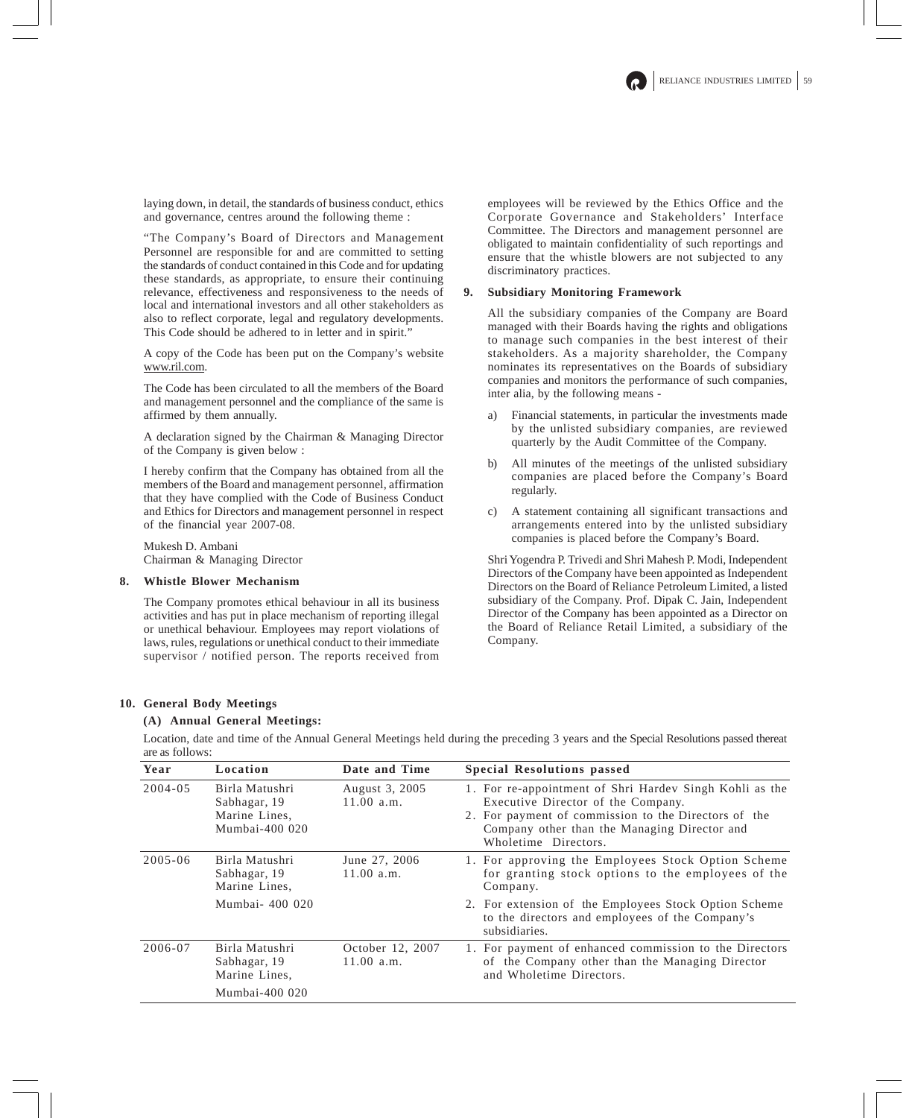laying down, in detail, the standards of business conduct, ethics and governance, centres around the following theme :

"The Company's Board of Directors and Management Personnel are responsible for and are committed to setting the standards of conduct contained in this Code and for updating these standards, as appropriate, to ensure their continuing relevance, effectiveness and responsiveness to the needs of local and international investors and all other stakeholders as also to reflect corporate, legal and regulatory developments. This Code should be adhered to in letter and in spirit."

A copy of the Code has been put on the Company's website www.ril.com.

The Code has been circulated to all the members of the Board and management personnel and the compliance of the same is affirmed by them annually.

A declaration signed by the Chairman & Managing Director of the Company is given below :

I hereby confirm that the Company has obtained from all the members of the Board and management personnel, affirmation that they have complied with the Code of Business Conduct and Ethics for Directors and management personnel in respect of the financial year 2007-08.

Mukesh D. Ambani Chairman & Managing Director

### **8. Whistle Blower Mechanism**

The Company promotes ethical behaviour in all its business activities and has put in place mechanism of reporting illegal or unethical behaviour. Employees may report violations of laws, rules, regulations or unethical conduct to their immediate supervisor / notified person. The reports received from employees will be reviewed by the Ethics Office and the Corporate Governance and Stakeholders' Interface Committee. The Directors and management personnel are obligated to maintain confidentiality of such reportings and ensure that the whistle blowers are not subjected to any discriminatory practices.

## **9. Subsidiary Monitoring Framework**

All the subsidiary companies of the Company are Board managed with their Boards having the rights and obligations to manage such companies in the best interest of their stakeholders. As a majority shareholder, the Company nominates its representatives on the Boards of subsidiary companies and monitors the performance of such companies, inter alia, by the following means -

- a) Financial statements, in particular the investments made by the unlisted subsidiary companies, are reviewed quarterly by the Audit Committee of the Company.
- b) All minutes of the meetings of the unlisted subsidiary companies are placed before the Company's Board regularly.
- c) A statement containing all significant transactions and arrangements entered into by the unlisted subsidiary companies is placed before the Company's Board.

Shri Yogendra P. Trivedi and Shri Mahesh P. Modi, Independent Directors of the Company have been appointed as Independent Directors on the Board of Reliance Petroleum Limited, a listed subsidiary of the Company. Prof. Dipak C. Jain, Independent Director of the Company has been appointed as a Director on the Board of Reliance Retail Limited, a subsidiary of the Company.

#### **10. General Body Meetings**

### **(A) Annual General Meetings:**

Location, date and time of the Annual General Meetings held during the preceding 3 years and the Special Resolutions passed thereat are as follows:

| Year        | Location                                                          | Date and Time                  | <b>Special Resolutions passed</b>                                                                                                                                                                                             |  |
|-------------|-------------------------------------------------------------------|--------------------------------|-------------------------------------------------------------------------------------------------------------------------------------------------------------------------------------------------------------------------------|--|
| $2004 - 05$ | Birla Matushri<br>Sabhagar, 19<br>Marine Lines,<br>Mumbai-400 020 | August 3, 2005<br>11.00 a.m.   | 1. For re-appointment of Shri Hardev Singh Kohli as the<br>Executive Director of the Company.<br>2. For payment of commission to the Directors of the<br>Company other than the Managing Director and<br>Wholetime Directors. |  |
| $2005 - 06$ | Birla Matushri<br>Sabhagar, 19<br>Marine Lines,                   | June 27, 2006<br>11.00 a.m.    | 1. For approving the Employees Stock Option Scheme<br>for granting stock options to the employees of the<br>Company.                                                                                                          |  |
|             | Mumbai- 400 020                                                   |                                | 2. For extension of the Employees Stock Option Scheme<br>to the directors and employees of the Company's<br>subsidiaries.                                                                                                     |  |
| 2006-07     | Birla Matushri<br>Sabhagar, 19<br>Marine Lines,                   | October 12, 2007<br>11.00 a.m. | 1. For payment of enhanced commission to the Directors<br>of the Company other than the Managing Director<br>and Wholetime Directors.                                                                                         |  |
|             | Mumbai-400 020                                                    |                                |                                                                                                                                                                                                                               |  |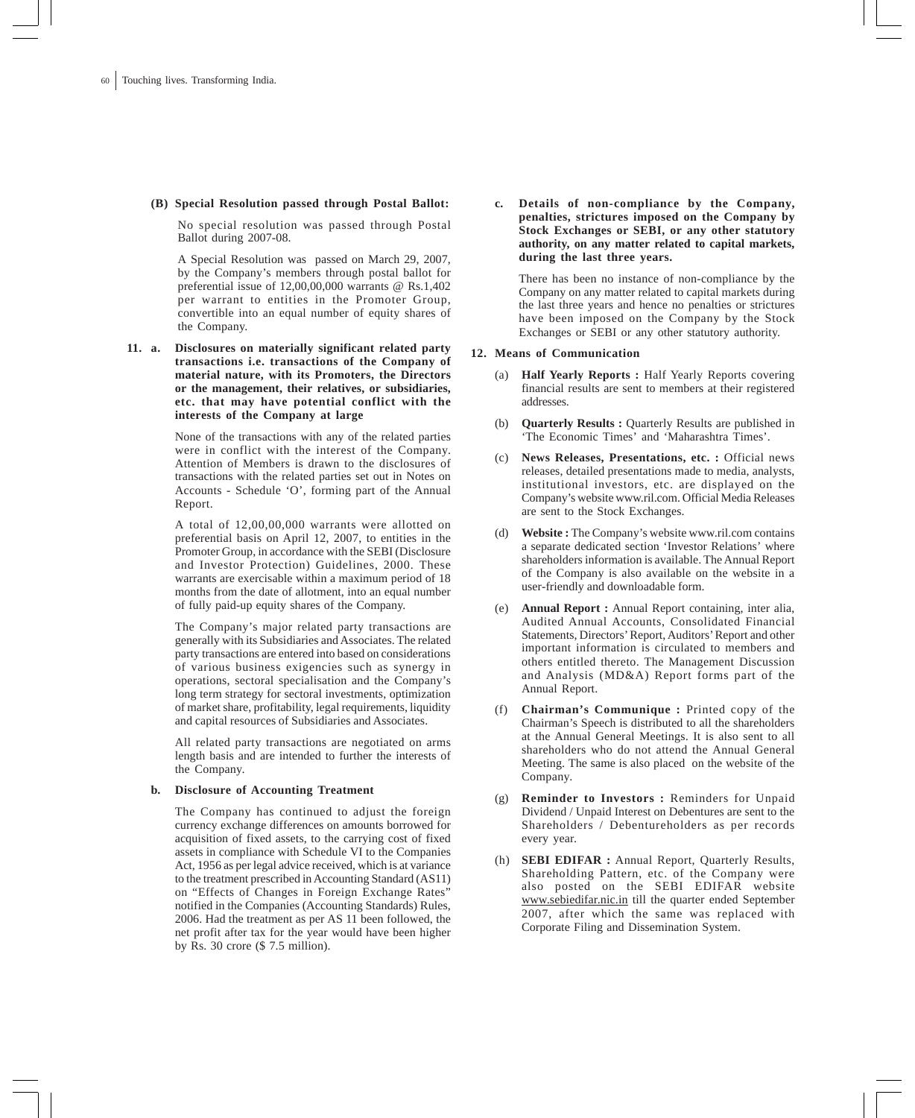### **(B) Special Resolution passed through Postal Ballot:**

No special resolution was passed through Postal Ballot during 2007-08.

A Special Resolution was passed on March 29, 2007, by the Company's members through postal ballot for preferential issue of 12,00,00,000 warrants @ Rs.1,402 per warrant to entities in the Promoter Group, convertible into an equal number of equity shares of the Company.

**11. a. Disclosures on materially significant related party transactions i.e. transactions of the Company of material nature, with its Promoters, the Directors or the management, their relatives, or subsidiaries, etc. that may have potential conflict with the interests of the Company at large**

> None of the transactions with any of the related parties were in conflict with the interest of the Company. Attention of Members is drawn to the disclosures of transactions with the related parties set out in Notes on Accounts - Schedule 'O', forming part of the Annual Report.

> A total of 12,00,00,000 warrants were allotted on preferential basis on April 12, 2007, to entities in the Promoter Group, in accordance with the SEBI (Disclosure and Investor Protection) Guidelines, 2000. These warrants are exercisable within a maximum period of 18 months from the date of allotment, into an equal number of fully paid-up equity shares of the Company.

> The Company's major related party transactions are generally with its Subsidiaries and Associates. The related party transactions are entered into based on considerations of various business exigencies such as synergy in operations, sectoral specialisation and the Company's long term strategy for sectoral investments, optimization of market share, profitability, legal requirements, liquidity and capital resources of Subsidiaries and Associates.

> All related party transactions are negotiated on arms length basis and are intended to further the interests of the Company.

### **b. Disclosure of Accounting Treatment**

The Company has continued to adjust the foreign currency exchange differences on amounts borrowed for acquisition of fixed assets, to the carrying cost of fixed assets in compliance with Schedule VI to the Companies Act, 1956 as per legal advice received, which is at variance to the treatment prescribed in Accounting Standard (AS11) on "Effects of Changes in Foreign Exchange Rates" notified in the Companies (Accounting Standards) Rules, 2006. Had the treatment as per AS 11 been followed, the net profit after tax for the year would have been higher by Rs. 30 crore (\$ 7.5 million).

**c. Details of non-compliance by the Company, penalties, strictures imposed on the Company by Stock Exchanges or SEBI, or any other statutory authority, on any matter related to capital markets, during the last three years.**

There has been no instance of non-compliance by the Company on any matter related to capital markets during the last three years and hence no penalties or strictures have been imposed on the Company by the Stock Exchanges or SEBI or any other statutory authority.

#### **12. Means of Communication**

- (a) **Half Yearly Reports :** Half Yearly Reports covering financial results are sent to members at their registered addresses.
- (b) **Quarterly Results :** Quarterly Results are published in 'The Economic Times' and 'Maharashtra Times'.
- News Releases, Presentations, etc. : Official news releases, detailed presentations made to media, analysts, institutional investors, etc. are displayed on the Company's website www.ril.com. Official Media Releases are sent to the Stock Exchanges.
- (d) **Website :** The Company's website www.ril.com contains a separate dedicated section 'Investor Relations' where shareholders information is available. The Annual Report of the Company is also available on the website in a user-friendly and downloadable form.
- (e) **Annual Report :** Annual Report containing, inter alia, Audited Annual Accounts, Consolidated Financial Statements, Directors' Report, Auditors' Report and other important information is circulated to members and others entitled thereto. The Management Discussion and Analysis (MD&A) Report forms part of the Annual Report.
- (f) **Chairman's Communique :** Printed copy of the Chairman's Speech is distributed to all the shareholders at the Annual General Meetings. It is also sent to all shareholders who do not attend the Annual General Meeting. The same is also placed on the website of the Company.
- (g) **Reminder to Investors :** Reminders for Unpaid Dividend / Unpaid Interest on Debentures are sent to the Shareholders / Debentureholders as per records every year.
- (h) **SEBI EDIFAR :** Annual Report, Quarterly Results, Shareholding Pattern, etc. of the Company were also posted on the SEBI EDIFAR website www.sebiedifar.nic.in till the quarter ended September 2007, after which the same was replaced with Corporate Filing and Dissemination System.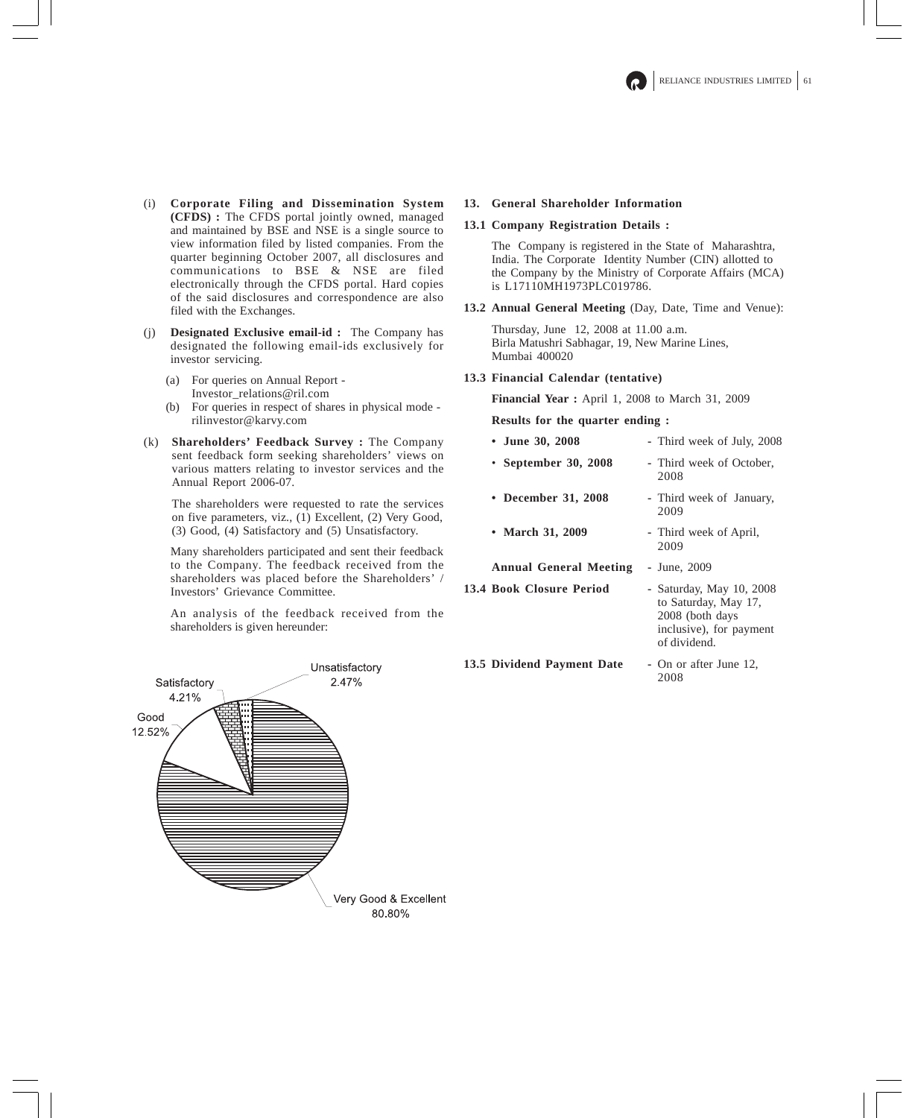- (i) **Corporate Filing and Dissemination System (CFDS) :** The CFDS portal jointly owned, managed and maintained by BSE and NSE is a single source to view information filed by listed companies. From the quarter beginning October 2007, all disclosures and communications to BSE & NSE are filed electronically through the CFDS portal. Hard copies of the said disclosures and correspondence are also filed with the Exchanges.
- (j) **Designated Exclusive email-id :** The Company has designated the following email-ids exclusively for investor servicing.
	- (a) For queries on Annual Report Investor\_relations@ril.com
	- (b) For queries in respect of shares in physical mode rilinvestor@karvy.com
- (k) **Shareholders' Feedback Survey :** The Company sent feedback form seeking shareholders' views on various matters relating to investor services and the Annual Report 2006-07.

The shareholders were requested to rate the services on five parameters, viz., (1) Excellent, (2) Very Good, (3) Good, (4) Satisfactory and (5) Unsatisfactory.

Many shareholders participated and sent their feedback to the Company. The feedback received from the shareholders was placed before the Shareholders' / Investors' Grievance Committee.

An analysis of the feedback received from the shareholders is given hereunder:

## **13. General Shareholder Information**

## **13.1 Company Registration Details :**

The Company is registered in the State of Maharashtra, India. The Corporate Identity Number (CIN) allotted to the Company by the Ministry of Corporate Affairs (MCA) is L17110MH1973PLC019786.

**13.2 Annual General Meeting** (Day, Date, Time and Venue):

Thursday, June 12, 2008 at 11.00 a.m. Birla Matushri Sabhagar, 19, New Marine Lines, Mumbai 400020

**13.3 Financial Calendar (tentative)**

**Financial Year :** April 1, 2008 to March 31, 2009

**Results for the quarter ending :**

- **June 30, 2008 -** Third week of July, 2008
- **September 30, 2008 -** Third week of October, 2008
- **December 31, 2008 -** Third week of January, 2009
- **March 31, 2009** Third week of April,
	- 2009

**Annual General Meeting -** June, 2009

- **13.4 Book Closure Period -** Saturday, May 10, 2008
	- to Saturday, May 17, 2008 (both days inclusive), for payment of dividend.

13.5 Dividend Payment Date - On or after June 12,

2008

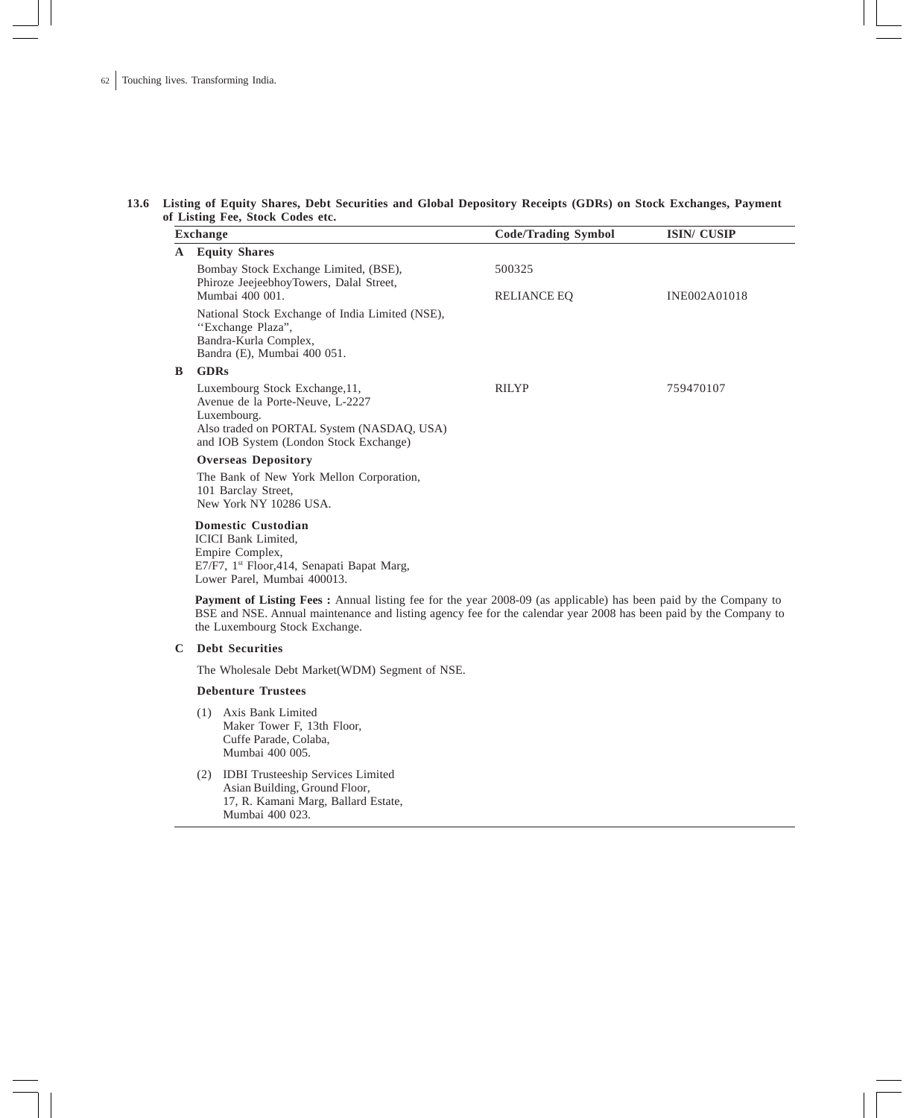### **13.6 Listing of Equity Shares, Debt Securities and Global Depository Receipts (GDRs) on Stock Exchanges, Payment of Listing Fee, Stock Codes etc.**

|   | <b>Ensuring 1 co, stock could clear</b><br><b>Exchange</b>                                                                                                                                                                                                                     | <b>Code/Trading Symbol</b><br><b>ISIN/ CUSIP</b> |              |  |  |  |  |  |
|---|--------------------------------------------------------------------------------------------------------------------------------------------------------------------------------------------------------------------------------------------------------------------------------|--------------------------------------------------|--------------|--|--|--|--|--|
| A | <b>Equity Shares</b>                                                                                                                                                                                                                                                           |                                                  |              |  |  |  |  |  |
|   | Bombay Stock Exchange Limited, (BSE),<br>Phiroze JeejeebhoyTowers, Dalal Street,<br>Mumbai 400 001.                                                                                                                                                                            | 500325<br><b>RELIANCE EQ</b>                     | INE002A01018 |  |  |  |  |  |
|   | National Stock Exchange of India Limited (NSE),<br>"Exchange Plaza",<br>Bandra-Kurla Complex,<br>Bandra (E), Mumbai 400 051.                                                                                                                                                   |                                                  |              |  |  |  |  |  |
| B | <b>GDRs</b>                                                                                                                                                                                                                                                                    |                                                  |              |  |  |  |  |  |
|   | Luxembourg Stock Exchange, 11,<br>Avenue de la Porte-Neuve, L-2227<br>Luxembourg.<br>Also traded on PORTAL System (NASDAQ, USA)<br>and IOB System (London Stock Exchange)                                                                                                      | <b>RILYP</b>                                     | 759470107    |  |  |  |  |  |
|   | <b>Overseas Depository</b>                                                                                                                                                                                                                                                     |                                                  |              |  |  |  |  |  |
|   | The Bank of New York Mellon Corporation,<br>101 Barclay Street,<br>New York NY 10286 USA.                                                                                                                                                                                      |                                                  |              |  |  |  |  |  |
|   | <b>Domestic Custodian</b><br><b>ICICI</b> Bank Limited.<br>Empire Complex,<br>E7/F7, 1st Floor, 414, Senapati Bapat Marg,<br>Lower Parel, Mumbai 400013.                                                                                                                       |                                                  |              |  |  |  |  |  |
|   | <b>Payment of Listing Fees:</b> Annual listing fee for the year 2008-09 (as applicable) has been paid by the Company to<br>BSE and NSE. Annual maintenance and listing agency fee for the calendar year 2008 has been paid by the Company to<br>the Luxembourg Stock Exchange. |                                                  |              |  |  |  |  |  |
| C | <b>Debt Securities</b>                                                                                                                                                                                                                                                         |                                                  |              |  |  |  |  |  |
|   | The Wholesale Debt Market (WDM) Segment of NSE.                                                                                                                                                                                                                                |                                                  |              |  |  |  |  |  |
|   | <b>Debenture Trustees</b>                                                                                                                                                                                                                                                      |                                                  |              |  |  |  |  |  |
|   | (1) Axis Bank Limited<br>Maker Tower F, 13th Floor,<br>Cuffe Parade, Colaba,<br>Mumbai 400 005.                                                                                                                                                                                |                                                  |              |  |  |  |  |  |

(2) IDBI Trusteeship Services Limited Asian Building, Ground Floor, 17, R. Kamani Marg, Ballard Estate, Mumbai 400 023.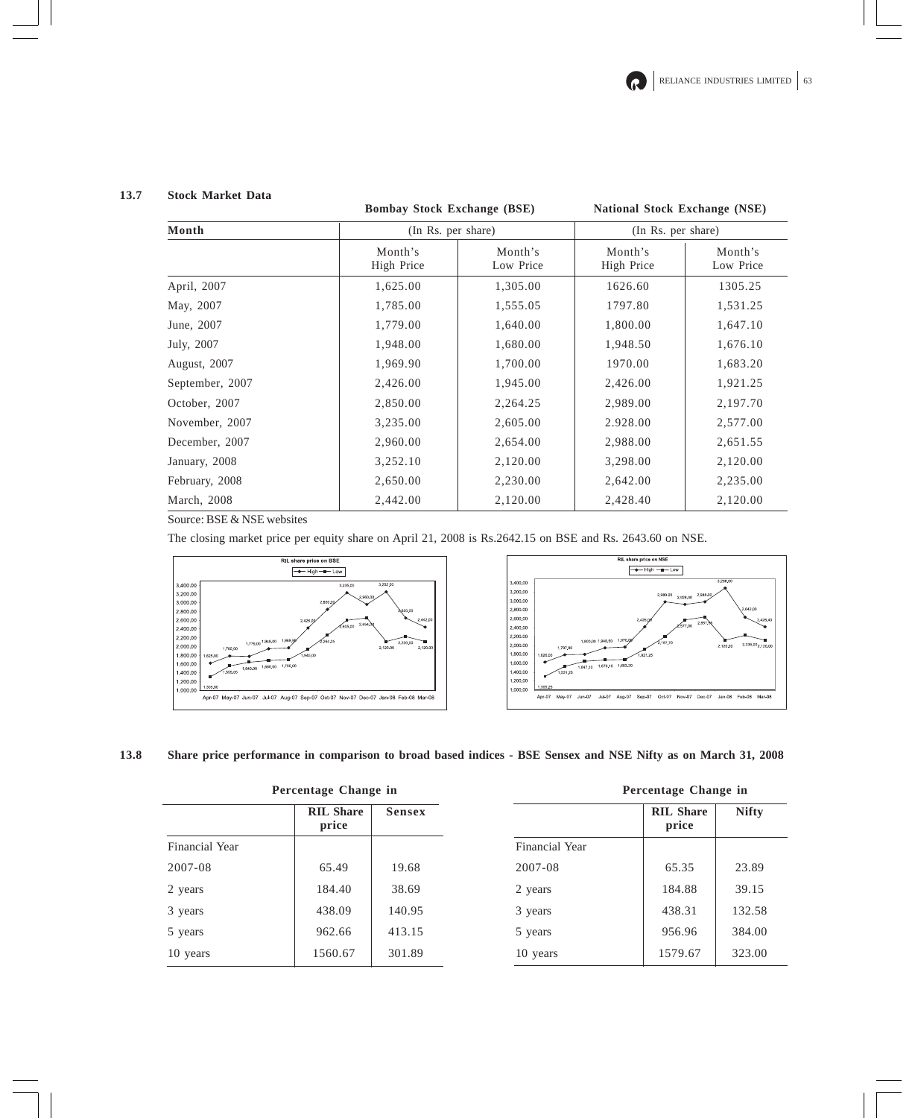## **13.7 Stock Market Data**

## **Bombay Stock Exchange (BSE) National Stock Exchange (NSE)**

| Month           | (In Rs. per share)    |                      | (In Rs. per share)    |                      |  |
|-----------------|-----------------------|----------------------|-----------------------|----------------------|--|
|                 | Month's<br>High Price | Month's<br>Low Price | Month's<br>High Price | Month's<br>Low Price |  |
| April, 2007     | 1,625.00              | 1,305.00             | 1626.60               | 1305.25              |  |
| May, 2007       | 1,785.00              | 1,555.05             | 1797.80               | 1,531.25             |  |
| June, 2007      | 1,779.00              | 1,640.00             | 1,800.00              | 1,647.10             |  |
| July, 2007      | 1,948.00              | 1,680.00             | 1,948.50              | 1,676.10             |  |
| August, 2007    | 1,969.90              | 1,700.00             | 1970.00               | 1,683.20             |  |
| September, 2007 | 2,426.00              | 1,945.00             | 2,426.00              | 1,921.25             |  |
| October, 2007   | 2,850.00              | 2,264.25             | 2,989.00              | 2,197.70             |  |
| November, 2007  | 3,235.00              | 2,605.00             | 2.928.00              | 2,577.00             |  |
| December, 2007  | 2,960.00              | 2,654.00             | 2,988.00              | 2,651.55             |  |
| January, 2008   | 3,252.10              | 2,120.00             | 3,298.00              | 2,120.00             |  |
| February, 2008  | 2,650.00              | 2,230.00             | 2,642.00              | 2,235.00             |  |
| March, 2008     | 2,442.00              | 2,120.00             | 2,428.40              | 2,120.00             |  |

Source: BSE & NSE websites

The closing market price per equity share on April 21, 2008 is Rs.2642.15 on BSE and Rs. 2643.60 on NSE.





**13.8 Share price performance in comparison to broad based indices - BSE Sensex and NSE Nifty as on March 31, 2008**

|  |  |  | Percentage Change in |  |
|--|--|--|----------------------|--|
|--|--|--|----------------------|--|

|                       | <b>RIL Share</b><br>price | <b>Sensex</b> |                 |
|-----------------------|---------------------------|---------------|-----------------|
| <b>Financial Year</b> |                           |               | Fina            |
| 2007-08               | 65.49                     | 19.68         | 200             |
| 2 years               | 184.40                    | 38.69         | 2 y6            |
| 3 years               | 438.09                    | 140.95        | $3 \text{ y}$   |
| 5 years               | 962.66                    | 413.15        | $5 \text{ y}$   |
| 10 years              | 1560.67                   | 301.89        | 10 <sub>2</sub> |

|                | гегсентаде спанде пг      |              |
|----------------|---------------------------|--------------|
|                | <b>RIL Share</b><br>price | <b>Nifty</b> |
| Financial Year |                           |              |
| 2007-08        | 65.35                     | 23.89        |
| 2 years        | 184.88                    | 39.15        |
| 3 years        | 438.31                    | 132.58       |
| 5 years        | 956.96                    | 384.00       |
| 10 years       | 1579.67                   | 323.00       |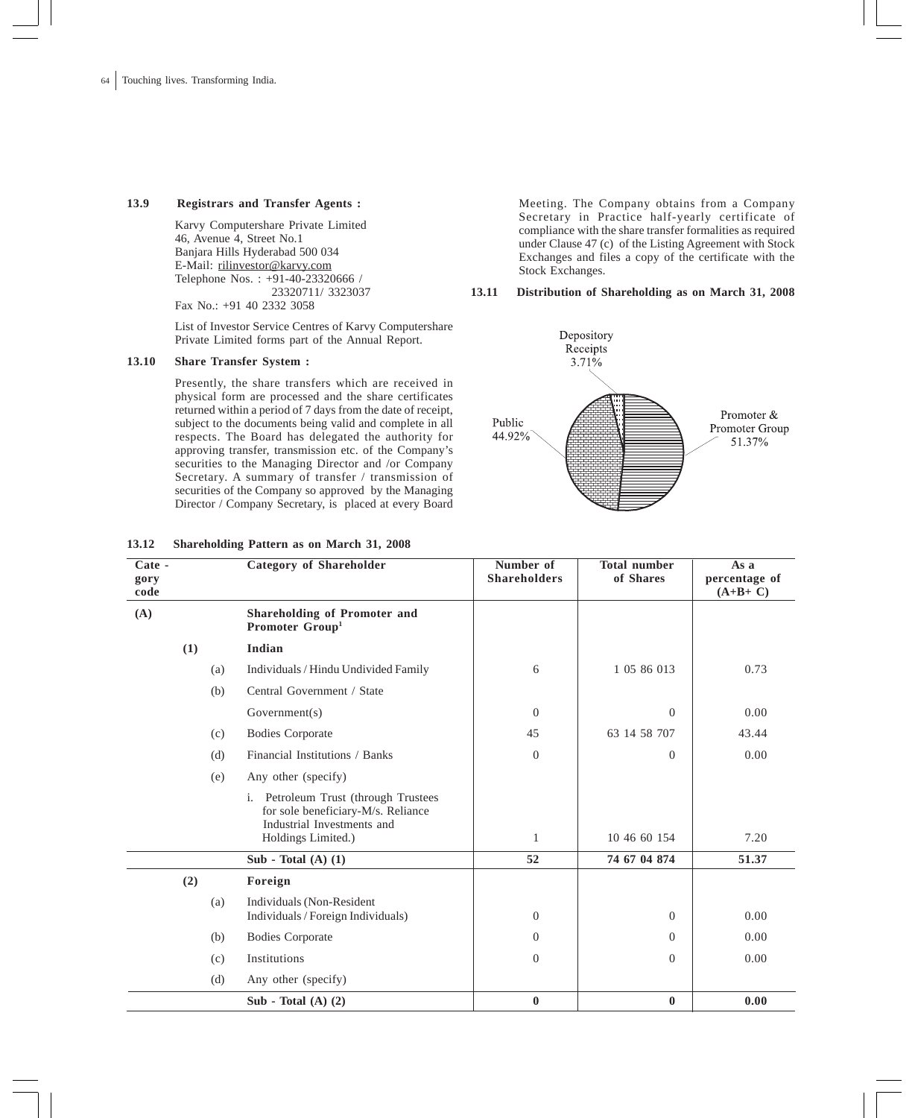## **13.9 Registrars and Transfer Agents :**

Karvy Computershare Private Limited 46, Avenue 4, Street No.1 Banjara Hills Hyderabad 500 034 E-Mail: rilinvestor@karvy.com Telephone Nos. : +91-40-23320666 / 23320711/ 3323037 Fax No.: +91 40 2332 3058

List of Investor Service Centres of Karvy Computershare Private Limited forms part of the Annual Report.

## **13.10 Share Transfer System :**

Presently, the share transfers which are received in physical form are processed and the share certificates returned within a period of 7 days from the date of receipt, subject to the documents being valid and complete in all respects. The Board has delegated the authority for approving transfer, transmission etc. of the Company's securities to the Managing Director and /or Company Secretary. A summary of transfer / transmission of securities of the Company so approved by the Managing Director / Company Secretary, is placed at every Board Meeting. The Company obtains from a Company Secretary in Practice half-yearly certificate of compliance with the share transfer formalities as required under Clause 47 (c) of the Listing Agreement with Stock Exchanges and files a copy of the certificate with the Stock Exchanges.

### **13.11 Distribution of Shareholding as on March 31, 2008**



| Cate -<br>gory<br>code |     | <b>Category of Shareholder</b>                                                                                                 | Number of<br><b>Shareholders</b> | <b>Total number</b><br>of Shares | As a<br>percentage of<br>$(A+B+C)$ |
|------------------------|-----|--------------------------------------------------------------------------------------------------------------------------------|----------------------------------|----------------------------------|------------------------------------|
| (A)                    |     | Shareholding of Promoter and<br>Promoter Group <sup>1</sup>                                                                    |                                  |                                  |                                    |
|                        | (1) | Indian                                                                                                                         |                                  |                                  |                                    |
|                        | (a) | Individuals / Hindu Undivided Family                                                                                           | 6                                | 1 05 86 013                      | 0.73                               |
|                        | (b) | Central Government / State                                                                                                     |                                  |                                  |                                    |
|                        |     | Government(s)                                                                                                                  | $\overline{0}$                   | $\Omega$                         | 0.00                               |
|                        | (c) | <b>Bodies Corporate</b>                                                                                                        | 45                               | 63 14 58 707                     | 43.44                              |
|                        | (d) | Financial Institutions / Banks                                                                                                 | $\theta$                         | $\Omega$                         | 0.00                               |
|                        | (e) | Any other (specify)                                                                                                            |                                  |                                  |                                    |
|                        |     | i. Petroleum Trust (through Trustees<br>for sole beneficiary-M/s. Reliance<br>Industrial Investments and<br>Holdings Limited.) | 1                                | 10 46 60 154                     | 7.20                               |
|                        |     | Sub - Total $(A)$ $(1)$                                                                                                        | 52                               | 74 67 04 874                     | 51.37                              |
|                        | (2) | Foreign                                                                                                                        |                                  |                                  |                                    |
|                        | (a) | Individuals (Non-Resident<br>Individuals / Foreign Individuals)                                                                | $\theta$                         | $\Omega$                         | 0.00                               |
|                        | (b) | <b>Bodies Corporate</b>                                                                                                        | $\Omega$                         | $\Omega$                         | 0.00                               |
|                        | (c) | Institutions                                                                                                                   | $\theta$                         | $\Omega$                         | 0.00                               |
|                        | (d) | Any other (specify)                                                                                                            |                                  |                                  |                                    |
|                        |     | Sub - Total $(A)$ $(2)$                                                                                                        | $\bf{0}$                         | $\mathbf{0}$                     | 0.00                               |

### **13.12 Shareholding Pattern as on March 31, 2008**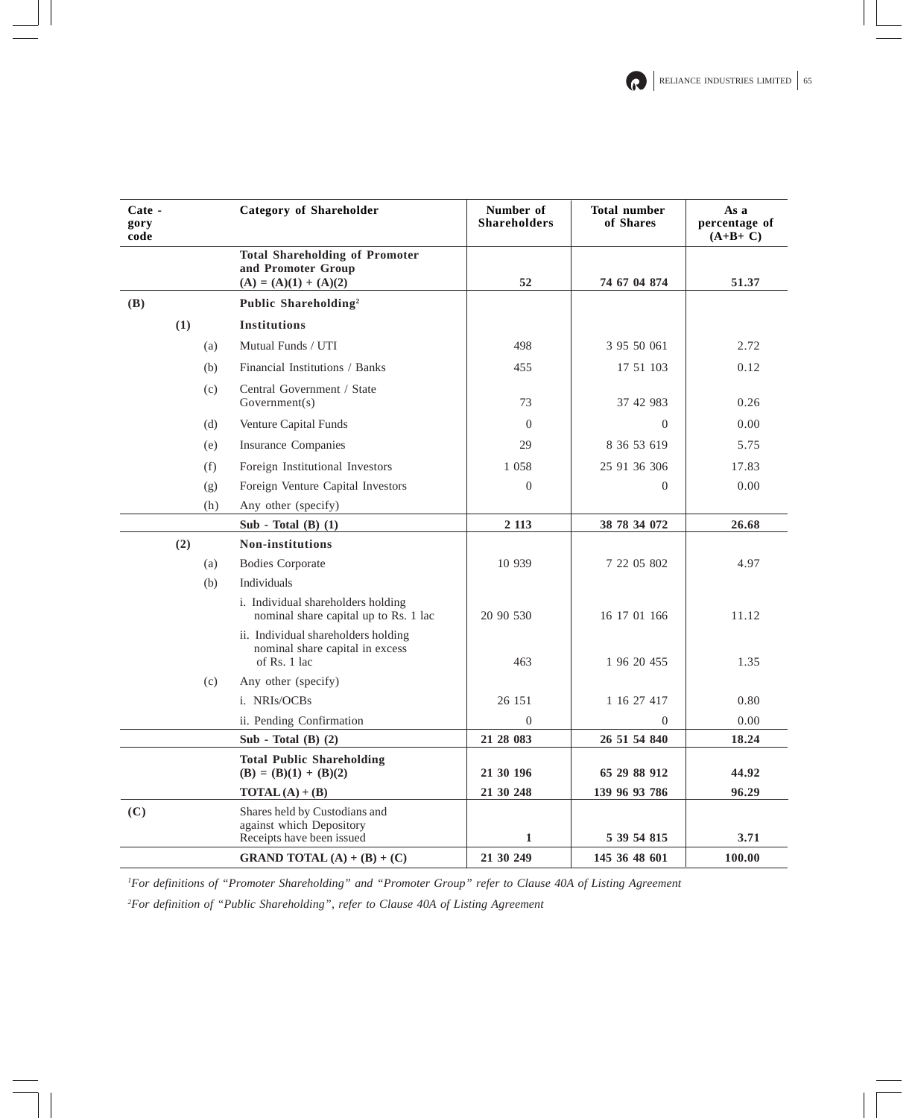| Cate -<br>gory<br>code |     | <b>Category of Shareholder</b>                                                         | Number of<br><b>Shareholders</b> | <b>Total number</b><br>of Shares | As a<br>percentage of<br>$(A+B+C)$ |
|------------------------|-----|----------------------------------------------------------------------------------------|----------------------------------|----------------------------------|------------------------------------|
|                        |     | <b>Total Shareholding of Promoter</b><br>and Promoter Group<br>$(A) = (A)(1) + (A)(2)$ | 52                               | 74 67 04 874                     | 51.37                              |
| (B)                    |     | Public Shareholding <sup>2</sup>                                                       |                                  |                                  |                                    |
|                        | (1) | <b>Institutions</b>                                                                    |                                  |                                  |                                    |
|                        | (a) | Mutual Funds / UTI                                                                     | 498                              | 3 95 50 061                      | 2.72                               |
|                        | (b) | Financial Institutions / Banks                                                         | 455                              | 17 51 103                        | 0.12                               |
|                        | (c) | Central Government / State<br>Government(s)                                            | 73                               | 37 42 983                        | 0.26                               |
|                        | (d) | Venture Capital Funds                                                                  | $\Omega$                         | $\Omega$                         | 0.00                               |
|                        | (e) | <b>Insurance Companies</b>                                                             | 29                               | 8 36 53 619                      | 5.75                               |
|                        | (f) | Foreign Institutional Investors                                                        | 1 0 5 8                          | 25 91 36 306                     | 17.83                              |
|                        | (g) | Foreign Venture Capital Investors                                                      | $\Omega$                         | $\Omega$                         | 0.00                               |
|                        | (h) | Any other (specify)                                                                    |                                  |                                  |                                    |
|                        |     | Sub - Total $(B)$ $(1)$                                                                | 2 1 1 3                          | 38 78 34 072                     | 26.68                              |
|                        | (2) | <b>Non-institutions</b>                                                                |                                  |                                  |                                    |
|                        | (a) | <b>Bodies Corporate</b>                                                                | 10 939                           | 7 22 05 802                      | 4.97                               |
|                        | (b) | Individuals                                                                            |                                  |                                  |                                    |
|                        |     | i. Individual shareholders holding<br>nominal share capital up to Rs. 1 lac            | 20 90 530                        | 16 17 01 166                     | 11.12                              |
|                        |     | ii. Individual shareholders holding<br>nominal share capital in excess<br>of Rs. 1 lac | 463                              | 1 96 20 455                      | 1.35                               |
|                        | (c) | Any other (specify)                                                                    |                                  |                                  |                                    |
|                        |     | i. NRIs/OCBs                                                                           | 26 151                           | 1 16 27 417                      | 0.80                               |
|                        |     | ii. Pending Confirmation                                                               | $\Omega$                         | $\Omega$                         | 0.00                               |
|                        |     | Sub - Total $(B)$ $(2)$                                                                | 21 28 083                        | 26 51 54 840                     | 18.24                              |
|                        |     | <b>Total Public Shareholding</b><br>$(B) = (B)(1) + (B)(2)$                            | 21 30 196                        | 65 29 88 912                     | 44.92                              |
|                        |     | $\textbf{TOTAL}(\textbf{A}) + (\textbf{B})$                                            | 21 30 248                        | 139 96 93 786                    | 96.29                              |
| (C)                    |     | Shares held by Custodians and<br>against which Depository<br>Receipts have been issued | 1                                | 5 39 54 815                      | 3.71                               |
|                        |     | <b>GRAND TOTAL</b> (A) + (B) + (C)                                                     | 21 30 249                        | 145 36 48 601                    | 100.00                             |

*1 For definitions of "Promoter Shareholding" and "Promoter Group" refer to Clause 40A of Listing Agreement*

*2 For definition of "Public Shareholding", refer to Clause 40A of Listing Agreement*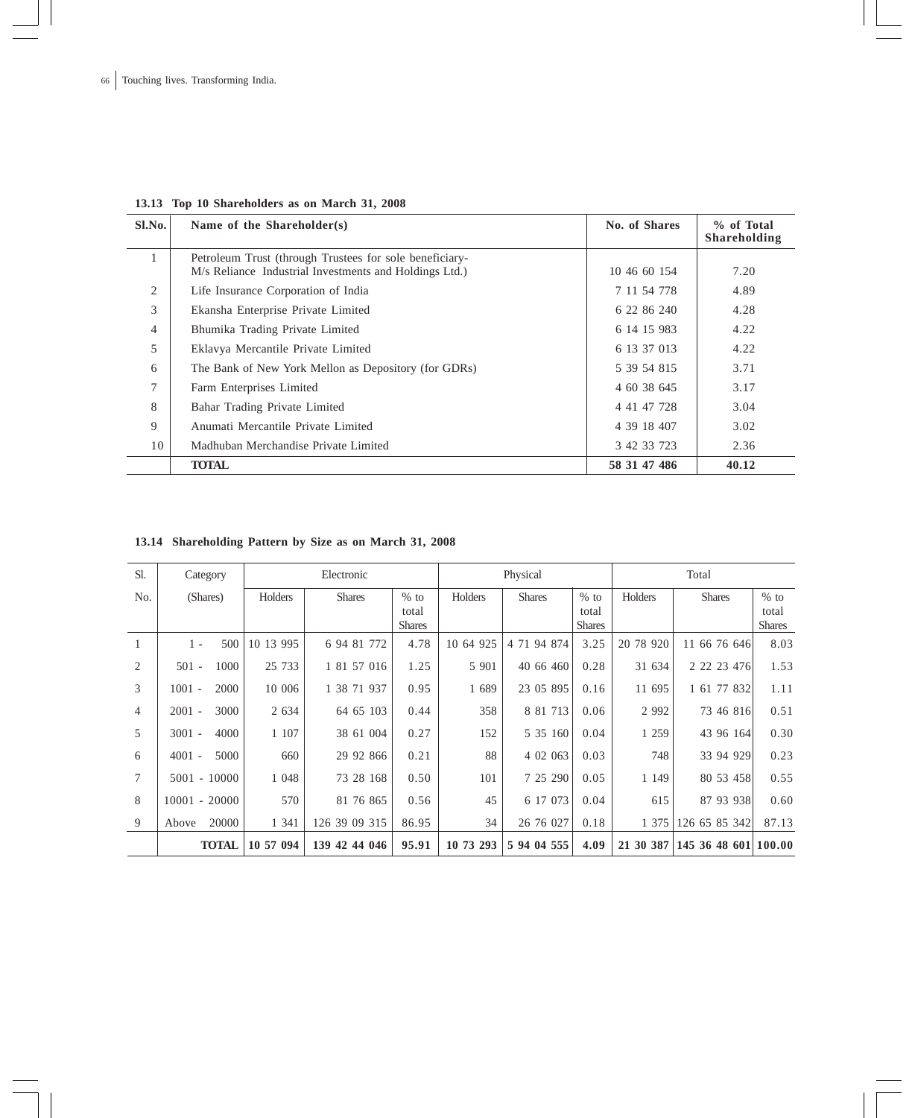| $S1$ . No. | Name of the Shareholder(s)                              | No. of Shares | % of Total<br>Shareholding |
|------------|---------------------------------------------------------|---------------|----------------------------|
|            | Petroleum Trust (through Trustees for sole beneficiary- |               |                            |
|            | M/s Reliance Industrial Investments and Holdings Ltd.)  | 10 46 60 154  | 7.20                       |
| 2          | Life Insurance Corporation of India                     | 7 11 54 778   | 4.89                       |
| 3          | Ekansha Enterprise Private Limited                      | 6 22 86 240   | 4.28                       |
| 4          | Bhumika Trading Private Limited                         | 6 14 15 983   | 4.22                       |
| 5          | Eklavya Mercantile Private Limited                      | 6 13 37 013   | 4.22                       |
| 6          | The Bank of New York Mellon as Depository (for GDRs)    | 5 39 54 815   | 3.71                       |
| 7          | Farm Enterprises Limited                                | 4 60 38 645   | 3.17                       |
| 8          | Bahar Trading Private Limited                           | 4 41 47 728   | 3.04                       |
| 9          | Anumati Mercantile Private Limited                      | 4 39 18 407   | 3.02                       |
| 10         | Madhuban Merchandise Private Limited                    | 3 42 33 723   | 2.36                       |
|            | <b>TOTAL</b>                                            | 58 31 47 486  | 40.12                      |

## **13.13 Top 10 Shareholders as on March 31, 2008**

## **13.14 Shareholding Pattern by Size as on March 31, 2008**

| Sl.            | Category         |           | Electronic       | Physical                         |           |               | Total                            |           |                 |                                  |
|----------------|------------------|-----------|------------------|----------------------------------|-----------|---------------|----------------------------------|-----------|-----------------|----------------------------------|
| No.            | (Shares)         | Holders   | <b>Shares</b>    | $%$ to<br>total<br><b>Shares</b> | Holders   | <b>Shares</b> | $%$ to<br>total<br><b>Shares</b> | Holders   | <b>Shares</b>   | $%$ to<br>total<br><b>Shares</b> |
|                | 500<br>$1 -$     | 10 13 995 | 6 94 81 772      | 4.78                             | 10 64 925 | 4 71 94 874   | 3.25                             | 20 78 920 | 11 66 76 646    | 8.03                             |
| 2              | 1000<br>$501 -$  | 25 733    | 1 81 57 016      | 1.25                             | 5 901     | 40 66 460     | 0.28                             | 31 634    | 2 2 2 2 4 4 7 6 | 1.53                             |
| 3              | 2000<br>$1001 -$ | 10 006    | 1 38 71 937      | 0.95                             | 1 689     | 23 05 895     | 0.16                             | 11 695    | 1 61 77 832     | 1.11                             |
| $\overline{4}$ | 3000<br>$2001 -$ | 2 6 3 4   | 64 65 103        | 0.44                             | 358       | 8 81 713      | 0.06                             | 2 9 9 2   | 73 46 816       | 0.51                             |
| 5              | 4000<br>$3001 -$ | 1 107     | 38 61 004        | 0.27                             | 152       | 5 35 160      | 0.04                             | 1 259     | 43 96 164       | 0.30                             |
| 6              | 5000<br>$4001 -$ | 660       | 29 92 866        | 0.21                             | 88        | 4 02 063      | 0.03                             | 748       | 33 94 929       | 0.23                             |
| $\tau$         | $5001 - 10000$   | 1 0 4 8   | 73 28 168        | 0.50                             | 101       | 7 25 290      | 0.05                             | 1 1 4 9   | 80 53 458       | 0.55                             |
| 8              | $10001 - 20000$  | 570       | 81 76 865        | 0.56                             | 45        | 6 17 073      | 0.04                             | 615       | 87 93 938       | 0.60                             |
| 9              | 20000<br>Above   | 1 341     | 126 39 09 315    | 86.95                            | 34        | 26 76 027     | 0.18                             | 1 375     | 126 65 85 342   | 87.13                            |
|                | <b>TOTAL</b>     | 10 57 094 | 42 44 046<br>139 | 95.91                            | 10 73 293 | 5 94 04 555   | 4.09                             | 21 30 387 | 145 36 48 601   | 100.00                           |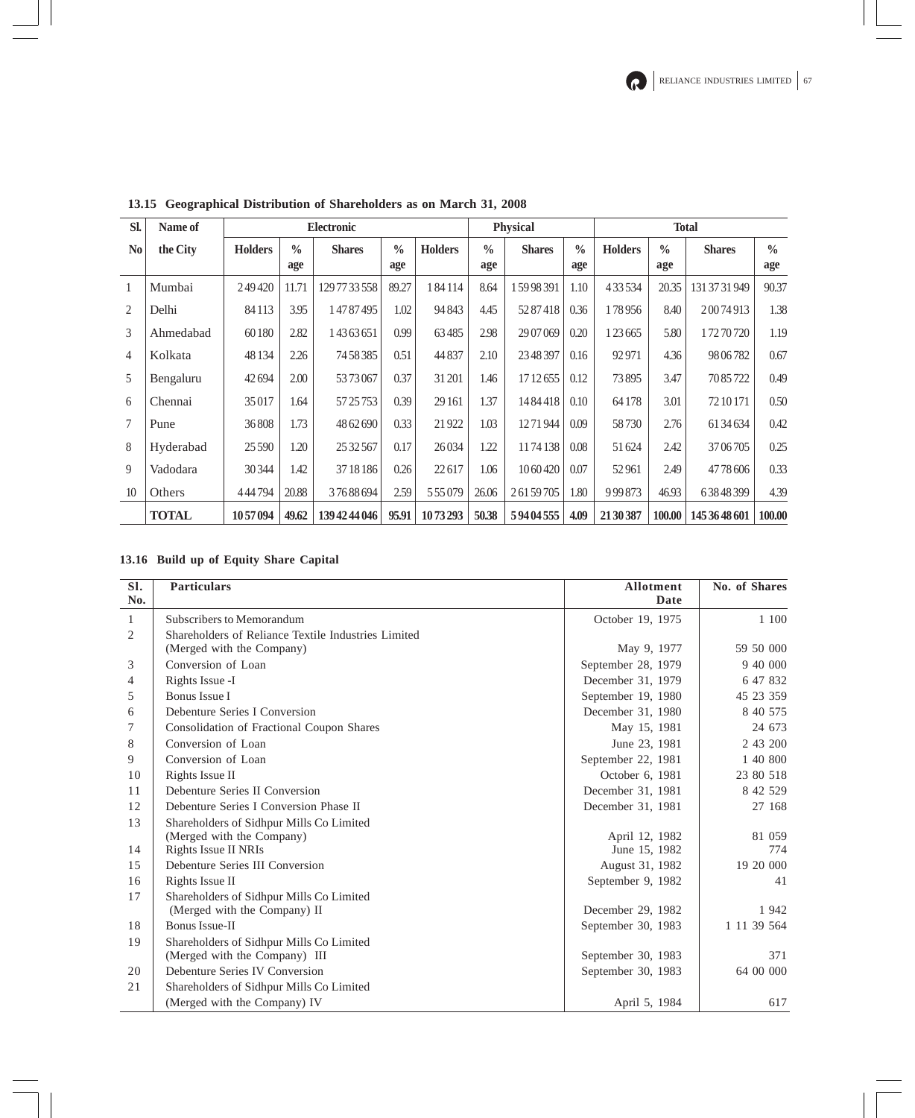| SI.            | Name of      | <b>Electronic</b> |                      |               |                      | <b>Physical</b> |                      |               | <b>Total</b>         |                |                      |               |                      |
|----------------|--------------|-------------------|----------------------|---------------|----------------------|-----------------|----------------------|---------------|----------------------|----------------|----------------------|---------------|----------------------|
| N <sub>0</sub> | the City     | <b>Holders</b>    | $\frac{0}{0}$<br>age | <b>Shares</b> | $\frac{0}{0}$<br>age | <b>Holders</b>  | $\frac{0}{0}$<br>age | <b>Shares</b> | $\frac{0}{0}$<br>age | <b>Holders</b> | $\frac{0}{0}$<br>age | <b>Shares</b> | $\frac{0}{0}$<br>age |
|                | Mumbai       | 249420            | 11.71                | 1297733558    | 89.27                | 184114          | 8.64                 | 15998391      | 1.10                 | 433534         | 20.35                | 131 37 31 949 | 90.37                |
| 2              | Delhi        | 84113             | 3.95                 | 14787495      | 1.02                 | 94843           | 4.45                 | 5287418       | 0.36                 | 178956         | 8.40                 | 20074913      | 1.38                 |
| 3              | Ahmedabad    | 60180             | 2.82                 | 14363651      | 0.99                 | 63485           | 2.98                 | 29 07 069     | 0.20                 | 1 23 6 65      | 5.80                 | 17270720      | 1.19                 |
| $\overline{4}$ | Kolkata      | 48 1 34           | 2.26                 | 74 58 385     | 0.51                 | 44837           | 2.10                 | 23 48 397     | 0.16                 | 92971          | 4.36                 | 9806782       | 0.67                 |
| 5              | Bengaluru    | 42694             | 2.00                 | 5373067       | 0.37                 | 31 201          | 1.46                 | 17 12 655     | 0.12                 | 73895          | 3.47                 | 7085722       | 0.49                 |
| 6              | Chennai      | 35017             | 1.64                 | 57 25 753     | 0.39                 | 29 16 1         | 1.37                 | 1484418       | 0.10                 | 64178          | 3.01                 | 72 10 171     | 0.50                 |
| $\tau$         | Pune         | 36808             | 1.73                 | 48 62 690     | 0.33                 | 21922           | 1.03                 | 1271944       | 0.09                 | 58730          | 2.76                 | 61 34 634     | 0.42                 |
| 8              | Hyderabad    | 25 5 9 0          | 1.20                 | 25 32 567     | 0.17                 | 26034           | 1.22                 | 1174138       | 0.08                 | 51624          | 2.42                 | 3706705       | 0.25                 |
| 9              | Vadodara     | 30344             | 1.42                 | 37 18 18 6    | 0.26                 | 22617           | 1.06                 | 1060420       | 0.07                 | 52961          | 2.49                 | 4778606       | 0.33                 |
| 10             | Others       | 444794            | 20.88                | 37688694      | 2.59                 | 555079          | 26.06                | 26159705      | 1.80                 | 999873         | 46.93                | 63848399      | 4.39                 |
|                | <b>TOTAL</b> | 1057094           | 49.62                | 139 42 44 046 | 95.91                | 1073293         | 50.38                | 59404555      | 4.09                 | 21 30 387      | 100.00               | 145 36 48 601 | 100.00               |

**13.15 Geographical Distribution of Shareholders as on March 31, 2008**

## **13.16 Build up of Equity Share Capital**

| SI.<br>No.     | <b>Particulars</b>                                                        | <b>Allotment</b><br>Date | No. of Shares |
|----------------|---------------------------------------------------------------------------|--------------------------|---------------|
| $\mathbf{1}$   | Subscribers to Memorandum                                                 | October 19, 1975         | 1 100         |
| 2              | Shareholders of Reliance Textile Industries Limited                       |                          |               |
|                | (Merged with the Company)                                                 | May 9, 1977              | 59 50 000     |
| 3              | Conversion of Loan                                                        | September 28, 1979       | 9 40 000      |
| $\overline{4}$ | Rights Issue -I                                                           | December 31, 1979        | 6 47 832      |
| 5              | <b>Bonus Issue I</b>                                                      | September 19, 1980       | 45 23 359     |
| 6              | Debenture Series I Conversion                                             | December 31, 1980        | 8 40 575      |
| 7              | Consolidation of Fractional Coupon Shares                                 | May 15, 1981             | 24 673        |
| 8              | Conversion of Loan                                                        | June 23, 1981            | 2 43 200      |
| 9              | Conversion of Loan                                                        | September 22, 1981       | 1 40 800      |
| 10             | Rights Issue II                                                           | October 6, 1981          | 23 80 518     |
| 11             | Debenture Series II Conversion                                            | December 31, 1981        | 8 42 5 29     |
| 12             | Debenture Series I Conversion Phase II                                    | December 31, 1981        | 27 168        |
| 13             | Shareholders of Sidhpur Mills Co Limited<br>(Merged with the Company)     | April 12, 1982           | 81 059        |
| 14             | Rights Issue II NRIs                                                      | June 15, 1982            | 774           |
| 15             | Debenture Series III Conversion                                           | August 31, 1982          | 19 20 000     |
| 16             | Rights Issue II                                                           | September 9, 1982        | 41            |
| 17             | Shareholders of Sidhpur Mills Co Limited<br>(Merged with the Company) II  | December 29, 1982        | 1942          |
| 18             | Bonus Issue-II                                                            | September 30, 1983       | 1 11 39 564   |
| 19             | Shareholders of Sidhpur Mills Co Limited<br>(Merged with the Company) III | September 30, 1983       | 371           |
| 20             | Debenture Series IV Conversion                                            | September 30, 1983       | 64 00 000     |
| 21             | Shareholders of Sidhpur Mills Co Limited                                  |                          |               |
|                | (Merged with the Company) IV                                              | April 5, 1984            | 617           |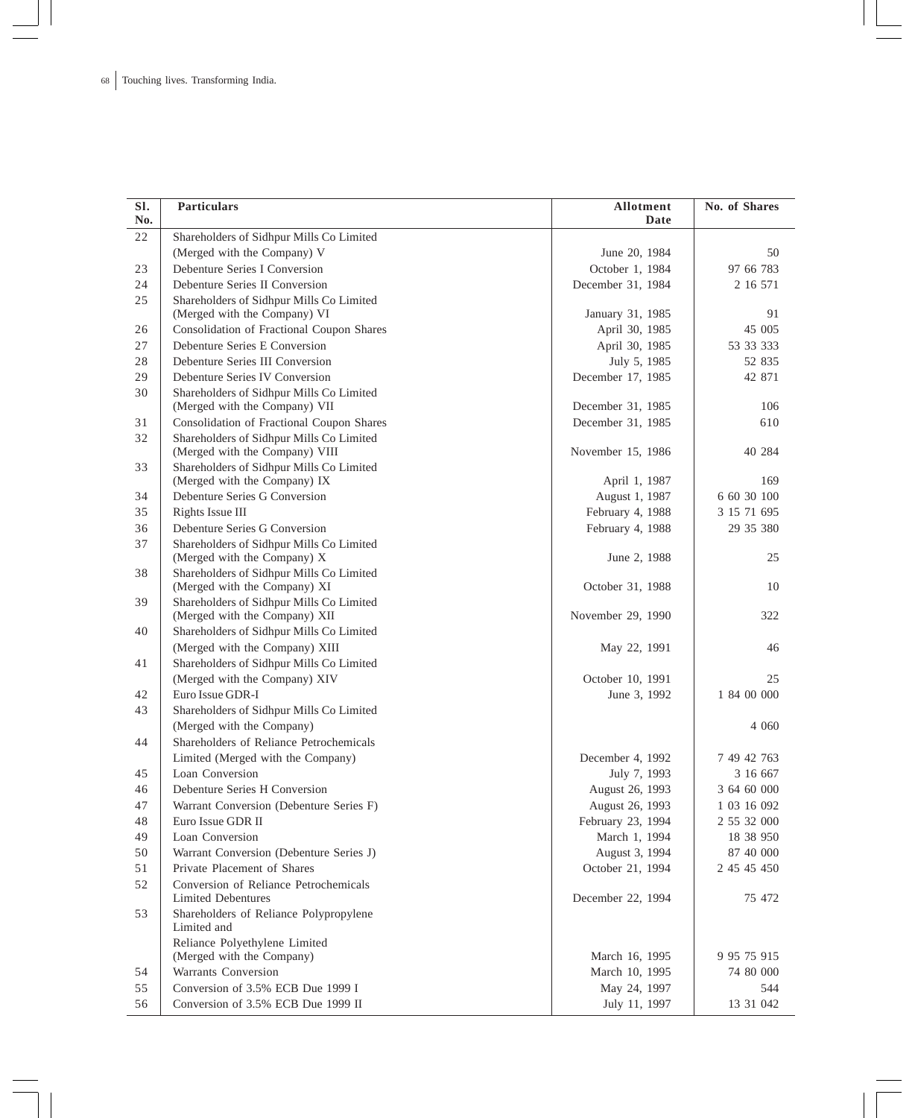| SI.<br>No. | <b>Particulars</b>                                                       | Allotment<br>Date | No. of Shares |
|------------|--------------------------------------------------------------------------|-------------------|---------------|
| 22         | Shareholders of Sidhpur Mills Co Limited                                 |                   |               |
|            | (Merged with the Company) V                                              | June 20, 1984     | 50            |
| 23         | Debenture Series I Conversion                                            | October 1, 1984   | 97 66 783     |
| 24         | Debenture Series II Conversion                                           | December 31, 1984 | 2 16 571      |
| 25         | Shareholders of Sidhpur Mills Co Limited                                 |                   |               |
|            | (Merged with the Company) VI                                             | January 31, 1985  | 91            |
| 26         | Consolidation of Fractional Coupon Shares                                | April 30, 1985    | 45 005        |
| 27         | Debenture Series E Conversion                                            | April 30, 1985    | 53 33 333     |
| 28         | Debenture Series III Conversion                                          | July 5, 1985      | 52 835        |
| 29         | Debenture Series IV Conversion                                           | December 17, 1985 | 42 871        |
| 30         | Shareholders of Sidhpur Mills Co Limited                                 |                   |               |
|            | (Merged with the Company) VII                                            | December 31, 1985 | 106           |
| 31         | Consolidation of Fractional Coupon Shares                                | December 31, 1985 | 610           |
| 32         | Shareholders of Sidhpur Mills Co Limited                                 |                   |               |
|            | (Merged with the Company) VIII                                           | November 15, 1986 | 40 284        |
| 33         | Shareholders of Sidhpur Mills Co Limited                                 |                   |               |
|            | (Merged with the Company) IX                                             | April 1, 1987     | 169           |
| 34         | Debenture Series G Conversion                                            | August 1, 1987    | 6 60 30 100   |
| 35         | Rights Issue III                                                         | February 4, 1988  | 3 15 71 695   |
| 36         | Debenture Series G Conversion                                            | February 4, 1988  | 29 35 380     |
| 37         | Shareholders of Sidhpur Mills Co Limited                                 |                   |               |
|            | (Merged with the Company) X                                              | June 2, 1988      | 25            |
| 38         | Shareholders of Sidhpur Mills Co Limited<br>(Merged with the Company) XI | October 31, 1988  | 10            |
| 39         | Shareholders of Sidhpur Mills Co Limited                                 |                   |               |
|            | (Merged with the Company) XII                                            | November 29, 1990 | 322           |
| 40         | Shareholders of Sidhpur Mills Co Limited                                 |                   |               |
|            | (Merged with the Company) XIII                                           | May 22, 1991      | 46            |
| 41         | Shareholders of Sidhpur Mills Co Limited                                 |                   |               |
|            | (Merged with the Company) XIV                                            | October 10, 1991  | 25            |
| 42         | Euro Issue GDR-I                                                         | June 3, 1992      | 1 84 00 000   |
| 43         | Shareholders of Sidhpur Mills Co Limited                                 |                   |               |
|            | (Merged with the Company)                                                |                   | 4 0 6 0       |
| 44         | Shareholders of Reliance Petrochemicals                                  |                   |               |
|            | Limited (Merged with the Company)                                        | December 4, 1992  | 7 49 42 763   |
| 45         | Loan Conversion                                                          | July 7, 1993      | 3 16 667      |
| 46         | Debenture Series H Conversion                                            | August 26, 1993   | 3 64 60 000   |
| 47         | Warrant Conversion (Debenture Series F)                                  | August 26, 1993   | 1 03 16 092   |
| 48         | Euro Issue GDR II                                                        | February 23, 1994 | 2 55 32 000   |
| 49         | Loan Conversion                                                          | March 1, 1994     | 18 38 950     |
| 50         | Warrant Conversion (Debenture Series J)                                  | August 3, 1994    | 87 40 000     |
| 51         | Private Placement of Shares                                              | October 21, 1994  | 2 45 45 450   |
| 52         | Conversion of Reliance Petrochemicals                                    |                   |               |
|            | Limited Debentures                                                       | December 22, 1994 | 75 472        |
| 53         | Shareholders of Reliance Polypropylene                                   |                   |               |
|            | Limited and                                                              |                   |               |
|            | Reliance Polyethylene Limited                                            |                   |               |
|            | (Merged with the Company)                                                | March 16, 1995    | 9 95 75 915   |
| 54         | Warrants Conversion                                                      | March 10, 1995    | 74 80 000     |
| 55         | Conversion of 3.5% ECB Due 1999 I                                        | May 24, 1997      | 544           |
| 56         | Conversion of 3.5% ECB Due 1999 II                                       | July 11, 1997     | 13 31 042     |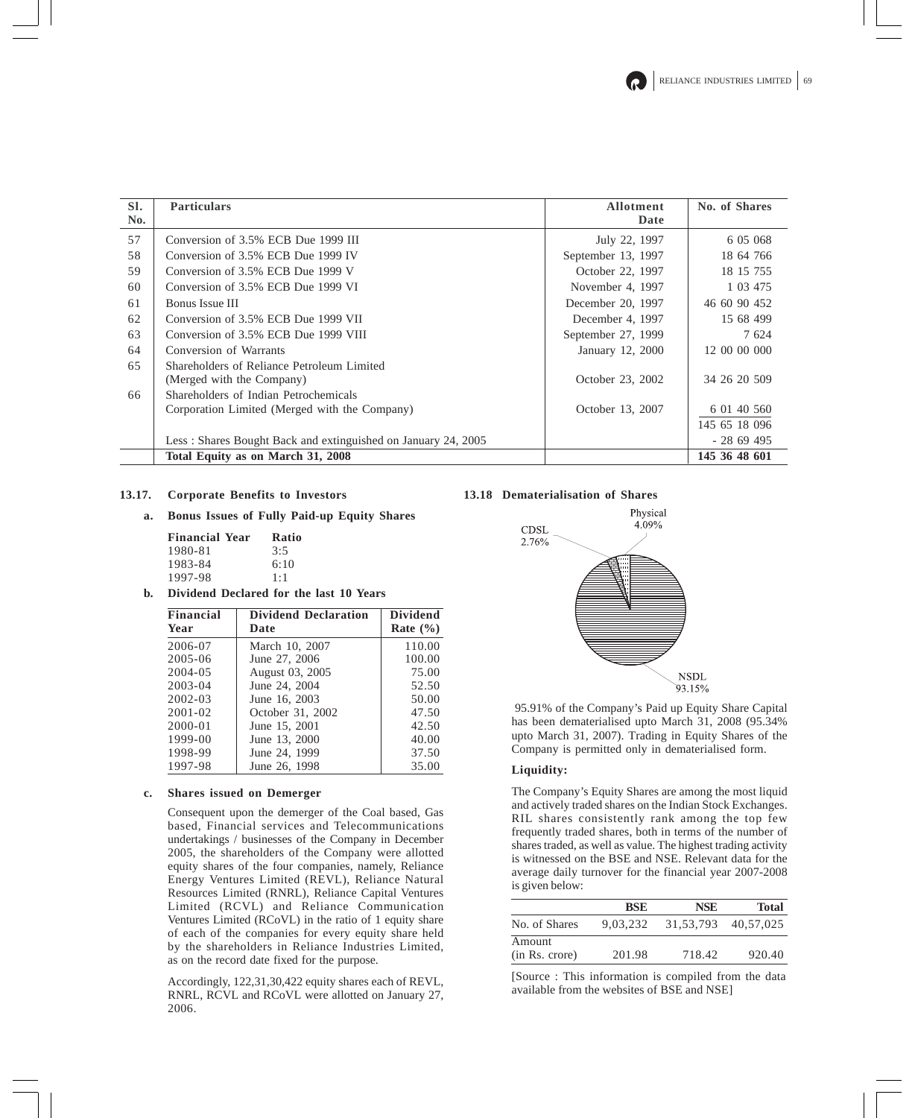| SI. | <b>Particulars</b>                                            | <b>Allotment</b>   | No. of Shares |
|-----|---------------------------------------------------------------|--------------------|---------------|
| No. |                                                               | Date               |               |
| 57  | Conversion of 3.5% ECB Due 1999 III                           | July 22, 1997      | 6 05 068      |
| 58  | Conversion of 3.5% ECB Due 1999 IV                            | September 13, 1997 | 18 64 766     |
| 59  | Conversion of 3.5% ECB Due 1999 V                             | October 22, 1997   | 18 15 755     |
| 60  | Conversion of 3.5% ECB Due 1999 VI                            | November 4, 1997   | 1 03 475      |
| 61  | Bonus Issue III                                               | December 20, 1997  | 46 60 90 452  |
| 62  | Conversion of 3.5% ECB Due 1999 VII                           | December 4, 1997   | 15 68 499     |
| 63  | Conversion of 3.5% ECB Due 1999 VIII                          | September 27, 1999 | 7 624         |
| 64  | Conversion of Warrants                                        | January 12, 2000   | 12 00 00 000  |
| 65  | Shareholders of Reliance Petroleum Limited                    |                    |               |
|     | (Merged with the Company)                                     | October 23, 2002   | 34 26 20 509  |
| 66  | Shareholders of Indian Petrochemicals                         |                    |               |
|     | Corporation Limited (Merged with the Company)                 | October 13, 2007   | 6 01 40 560   |
|     |                                                               |                    | 145 65 18 096 |
|     | Less: Shares Bought Back and extinguished on January 24, 2005 |                    | $-2869495$    |
|     | Total Equity as on March 31, 2008                             |                    | 145 36 48 601 |

## **13.17. Corporate Benefits to Investors**

**a. Bonus Issues of Fully Paid-up Equity Shares**

| <b>Financial Year</b> | Ratio |
|-----------------------|-------|
| 1980-81               | 3:5   |
| 1983-84               | 6:10  |
| 1997-98               | 1:1   |

**b. Dividend Declared for the last 10 Years**

| <b>Financial</b><br>Year | <b>Dividend Declaration</b><br>Date | <b>Dividend</b><br>Rate $(\% )$ |
|--------------------------|-------------------------------------|---------------------------------|
| 2006-07                  | March 10, 2007                      | 110.00                          |
| $2005 - 06$              | June 27, 2006                       | 100.00                          |
| $2004 - 05$              | August 03, 2005                     | 75.00                           |
| $2003 - 04$              | June 24, 2004                       | 52.50                           |
| $2002 - 03$              | June 16, 2003                       | 50.00                           |
| $2001 - 02$              | October 31, 2002                    | 47.50                           |
| $2000 - 01$              | June 15, 2001                       | 42.50                           |
| $1999 - 00$              | June 13, 2000                       | 40.00                           |
| 1998-99                  | June 24, 1999                       | 37.50                           |
| 1997-98                  | June 26, 1998                       | 35.00                           |

### **c. Shares issued on Demerger**

Consequent upon the demerger of the Coal based, Gas based, Financial services and Telecommunications undertakings / businesses of the Company in December 2005, the shareholders of the Company were allotted equity shares of the four companies, namely, Reliance Energy Ventures Limited (REVL), Reliance Natural Resources Limited (RNRL), Reliance Capital Ventures Limited (RCVL) and Reliance Communication Ventures Limited (RCoVL) in the ratio of 1 equity share of each of the companies for every equity share held by the shareholders in Reliance Industries Limited, as on the record date fixed for the purpose.

Accordingly, 122,31,30,422 equity shares each of REVL, RNRL, RCVL and RCoVL were allotted on January 27, 2006.

## **13.18 Dematerialisation of Shares**



 95.91% of the Company's Paid up Equity Share Capital has been dematerialised upto March 31, 2008 (95.34% upto March 31, 2007). Trading in Equity Shares of the Company is permitted only in dematerialised form.

## **Liquidity:**

The Company's Equity Shares are among the most liquid and actively traded shares on the Indian Stock Exchanges. RIL shares consistently rank among the top few frequently traded shares, both in terms of the number of shares traded, as well as value. The highest trading activity is witnessed on the BSE and NSE. Relevant data for the average daily turnover for the financial year 2007-2008 is given below:

|                          | <b>BSE</b> | <b>NSE</b>  | <b>Total</b> |
|--------------------------|------------|-------------|--------------|
| No. of Shares            | 9.03.232   | 31, 53, 793 | 40.57.025    |
| Amount<br>(in Rs. crore) | 201.98     | 718.42      | 920.40       |

[Source : This information is compiled from the data available from the websites of BSE and NSE]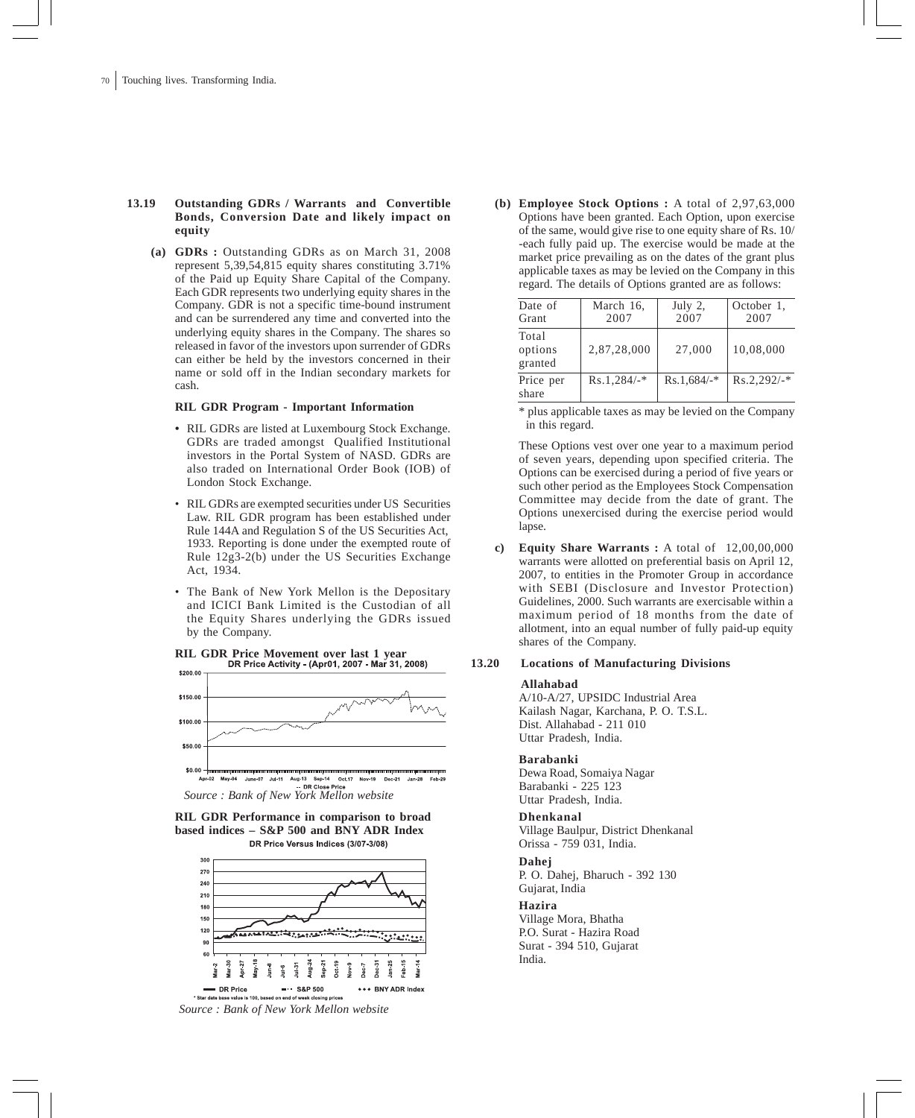## **13.19 Outstanding GDRs / Warrants and Convertible Bonds, Conversion Date and likely impact on equity**

**(a) GDRs :** Outstanding GDRs as on March 31, 2008 represent 5,39,54,815 equity shares constituting 3.71% of the Paid up Equity Share Capital of the Company. Each GDR represents two underlying equity shares in the Company. GDR is not a specific time-bound instrument and can be surrendered any time and converted into the underlying equity shares in the Company. The shares so released in favor of the investors upon surrender of GDRs can either be held by the investors concerned in their name or sold off in the Indian secondary markets for cash.

### **RIL GDR Program - Important Information**

- *•* RIL GDRs are listed at Luxembourg Stock Exchange. GDRs are traded amongst Qualified Institutional investors in the Portal System of NASD. GDRs are also traded on International Order Book (IOB) of London Stock Exchange.
- RIL GDRs are exempted securities under US Securities Law. RIL GDR program has been established under Rule 144A and Regulation S of the US Securities Act, 1933. Reporting is done under the exempted route of Rule 12g3-2(b) under the US Securities Exchange Act, 1934.
- The Bank of New York Mellon is the Depositary and ICICI Bank Limited is the Custodian of all the Equity Shares underlying the GDRs issued by the Company.





**RIL GDR Performance in comparison to broad based indices – S&P 500 and BNY ADR Index** DR Price Versus Indices (3/07-3/08)



**(b) Employee Stock Options :** A total of 2,97,63,000 Options have been granted. Each Option, upon exercise of the same, would give rise to one equity share of Rs. 10/ -each fully paid up. The exercise would be made at the market price prevailing as on the dates of the grant plus applicable taxes as may be levied on the Company in this regard. The details of Options granted are as follows:

| Date of<br>Grant            | March 16,<br>2007 | July $2$ ,<br>2007 | October 1,<br>2007 |
|-----------------------------|-------------------|--------------------|--------------------|
| Total<br>options<br>granted | 2,87,28,000       | 27,000             | 10.08.000          |
| Price per<br>share          | $Rs.1,284/$ -*    | $Rs.1.684/-$ *     | $Rs.2.292/-$ *     |

\* plus applicable taxes as may be levied on the Company in this regard.

These Options vest over one year to a maximum period of seven years, depending upon specified criteria. The Options can be exercised during a period of five years or such other period as the Employees Stock Compensation Committee may decide from the date of grant. The Options unexercised during the exercise period would lapse.

**c) Equity Share Warrants :** A total of 12,00,00,000 warrants were allotted on preferential basis on April 12, 2007, to entities in the Promoter Group in accordance with SEBI (Disclosure and Investor Protection) Guidelines, 2000. Such warrants are exercisable within a maximum period of 18 months from the date of allotment, into an equal number of fully paid-up equity shares of the Company.

## **13.20 Locations of Manufacturing Divisions**

#### **Allahabad**

A/10-A/27, UPSIDC Industrial Area Kailash Nagar, Karchana, P. O. T.S.L. Dist. Allahabad - 211 010 Uttar Pradesh, India.

#### **Barabanki**

Dewa Road, Somaiya Nagar Barabanki - 225 123 Uttar Pradesh, India.

### **Dhenkanal**

Village Baulpur, District Dhenkanal Orissa - 759 031, India.

## **Dahej**

P. O. Dahej, Bharuch - 392 130 Gujarat, India

## **Hazira**

Village Mora, Bhatha P.O. Surat - Hazira Road Surat - 394 510, Gujarat India.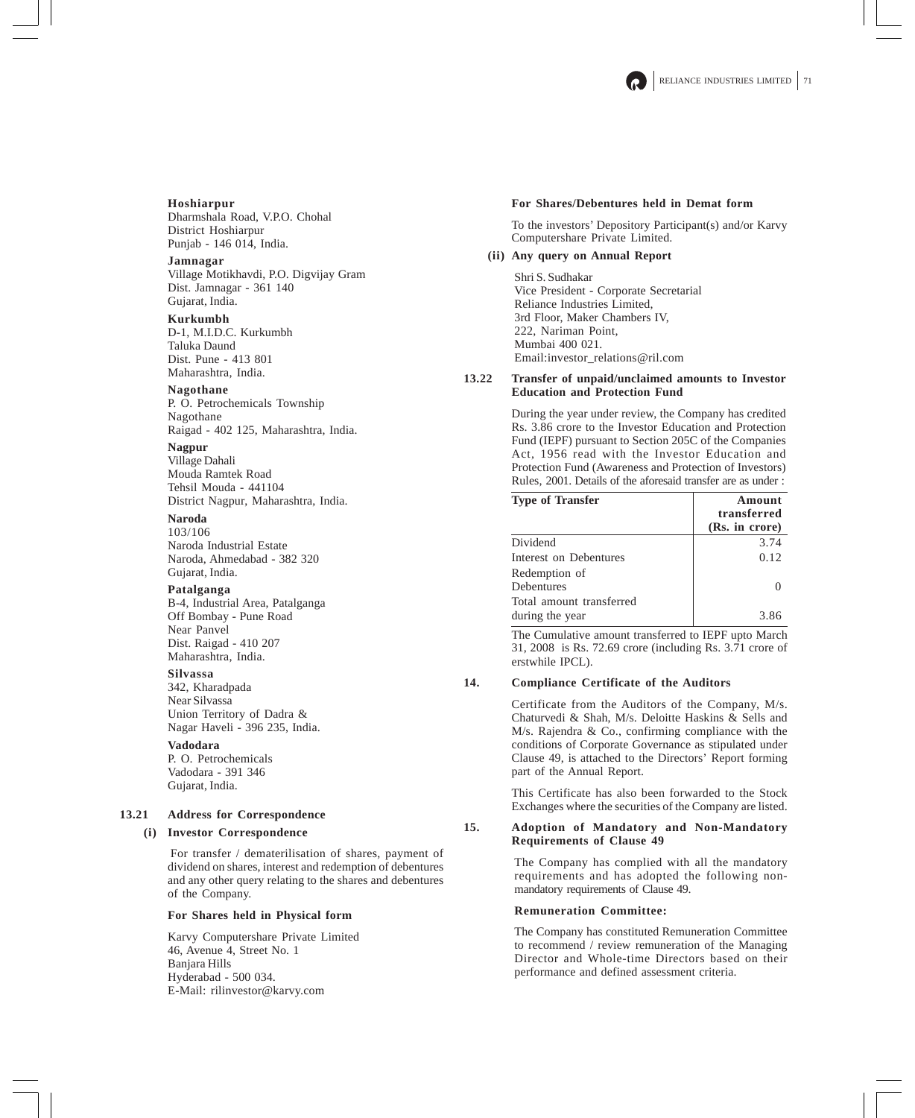**Hoshiarpur** Dharmshala Road, V.P.O. Chohal District Hoshiarpur Punjab - 146 014, India.

### **Jamnagar**

Village Motikhavdi, P.O. Digvijay Gram Dist. Jamnagar - 361 140 Gujarat, India.

## **Kurkumbh**

D-1, M.I.D.C. Kurkumbh Taluka Daund Dist. Pune - 413 801 Maharashtra, India.

## **Nagothane**

P. O. Petrochemicals Township Nagothane Raigad - 402 125, Maharashtra, India.

### **Nagpur**

Village Dahali Mouda Ramtek Road Tehsil Mouda - 441104 District Nagpur, Maharashtra, India.

## **Naroda**

103/106 Naroda Industrial Estate Naroda, Ahmedabad - 382 320 Gujarat, India.

### **Patalganga**

B-4, Industrial Area, Patalganga Off Bombay - Pune Road Near Panvel Dist. Raigad - 410 207 Maharashtra, India.

### **Silvassa**

342, Kharadpada Near Silvassa Union Territory of Dadra & Nagar Haveli - 396 235, India.

## **Vadodara**

P. O. Petrochemicals Vadodara - 391 346 Gujarat, India.

## **13.21 Address for Correspondence**

## **(i) Investor Correspondence**

For transfer / dematerilisation of shares, payment of dividend on shares, interest and redemption of debentures and any other query relating to the shares and debentures of the Company.

## **For Shares held in Physical form**

Karvy Computershare Private Limited 46, Avenue 4, Street No. 1 Banjara Hills Hyderabad - 500 034. E-Mail: rilinvestor@karvy.com

### **For Shares/Debentures held in Demat form**

To the investors' Depository Participant(s) and/or Karvy Computershare Private Limited.

## **(ii) Any query on Annual Report**

Shri S. Sudhakar Vice President - Corporate Secretarial Reliance Industries Limited, 3rd Floor, Maker Chambers IV, 222, Nariman Point, Mumbai 400 021. Email:investor\_relations@ril.com

### **13.22 Transfer of unpaid/unclaimed amounts to Investor Education and Protection Fund**

During the year under review, the Company has credited Rs. 3.86 crore to the Investor Education and Protection Fund (IEPF) pursuant to Section 205C of the Companies Act, 1956 read with the Investor Education and Protection Fund (Awareness and Protection of Investors) Rules, 2001. Details of the aforesaid transfer are as under :

| <b>Type of Transfer</b>                     | Amount<br>transferred<br>(Rs. in crore) |
|---------------------------------------------|-----------------------------------------|
| Dividend                                    | 3.74                                    |
| Interest on Debentures                      | 0.12                                    |
| Redemption of                               |                                         |
| <b>Debentures</b>                           |                                         |
| Total amount transferred<br>during the year | 3.86                                    |

The Cumulative amount transferred to IEPF upto March 31, 2008 is Rs. 72.69 crore (including Rs. 3.71 crore of erstwhile IPCL).

## **14. Compliance Certificate of the Auditors**

Certificate from the Auditors of the Company, M/s. Chaturvedi & Shah, M/s. Deloitte Haskins & Sells and M/s. Rajendra & Co., confirming compliance with the conditions of Corporate Governance as stipulated under Clause 49, is attached to the Directors' Report forming part of the Annual Report.

This Certificate has also been forwarded to the Stock Exchanges where the securities of the Company are listed.

## **15. Adoption of Mandatory and Non-Mandatory Requirements of Clause 49**

The Company has complied with all the mandatory requirements and has adopted the following nonmandatory requirements of Clause 49.

### **Remuneration Committee:**

The Company has constituted Remuneration Committee to recommend / review remuneration of the Managing Director and Whole-time Directors based on their performance and defined assessment criteria.